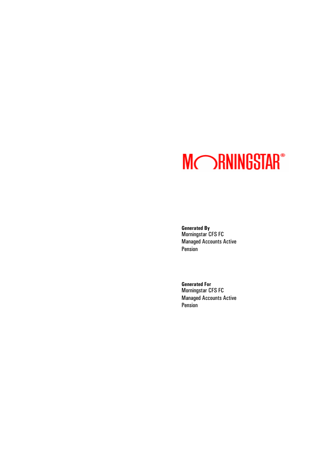# **MORNINGSTAR®**

**Generated By** Morningstar CFS FC Managed Accounts Active Pension

**Generated For** Morningstar CFS FC Managed Accounts Active Pension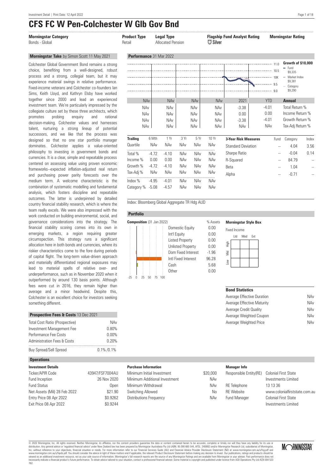outcomes. The latter is underpinned by detailed country financial stability research, which is where the team really excels. We were also impressed with the work conducted on building environmental, social, and governance considerations into the strategy. The financial stability scoring comes into its own in emerging markets, a region requiring greater circumspection. This strategy runs a significant allocation here in both bonds and currencies, where its riskier characteristics come to the fore during periods of capital flight. The long-term value-driven approach and materially differentiated regional exposures may lead to material spells of relative over- and underperformance, such as in November 2020 when it outperformed by around 130 basis points. Although fees were cut in 2016, they remain higher than average and a minor headwind. Despite this, Colchester is an excellent choice for investors seeking

## **CFS FC W Pen-Colchester W Glb Gov Bnd**

| <b>Morningstar Category</b><br>Bonds - Global                                                                                                                                                                                                                                                                                                                                                                                                                                                                                                                                                           | <b>Product Type</b><br>Retail                 |                       | <b>Legal Type</b><br><b>Allocated Pension</b> |                          |                                                                    | $E_{\mathbb{F}}$ Silver                                            | <b>Flagship Fund Analyst Rating</b>                                                                                                                                                                                                                                                                                                                                                                                                                                                                                               |                                                 | <b>Morningstar Rating</b>                                                                                                                                                                  |                          |
|---------------------------------------------------------------------------------------------------------------------------------------------------------------------------------------------------------------------------------------------------------------------------------------------------------------------------------------------------------------------------------------------------------------------------------------------------------------------------------------------------------------------------------------------------------------------------------------------------------|-----------------------------------------------|-----------------------|-----------------------------------------------|--------------------------|--------------------------------------------------------------------|--------------------------------------------------------------------|-----------------------------------------------------------------------------------------------------------------------------------------------------------------------------------------------------------------------------------------------------------------------------------------------------------------------------------------------------------------------------------------------------------------------------------------------------------------------------------------------------------------------------------|-------------------------------------------------|--------------------------------------------------------------------------------------------------------------------------------------------------------------------------------------------|--------------------------|
| Morningstar Take by Simon Scott 11 May 2021                                                                                                                                                                                                                                                                                                                                                                                                                                                                                                                                                             | Performance 31 Mar 2022                       |                       |                                               |                          |                                                                    |                                                                    |                                                                                                                                                                                                                                                                                                                                                                                                                                                                                                                                   |                                                 |                                                                                                                                                                                            |                          |
| Colchester Global Government Bond remains a strong<br>choice, benefiting from a well-designed, robust<br>process and a strong, collegial team, but it may<br>experience material swings in relative performance.<br>Fixed-income veterans and Colchester co-founders lan<br>Sims, Keith Lloyd, and Kathryn Elsby have worked<br>together since 2000 and lead an experienced<br>investment team. We're particularly impressed by the<br>collegiate culture set by these three architects, which<br>probing<br>rational<br>promotes<br>enquiry<br>and<br>decision-making. Colchester values and harnesses | <b>NAv</b><br><b>NAv</b><br>NAv<br>NAv<br>NAv |                       | <b>NAv</b><br>NAv<br>NAv<br>NAv<br><b>NAv</b> |                          | <b>NAv</b><br><b>NAv</b><br><b>NAv</b><br><b>NAv</b><br><b>NAv</b> | <b>NAv</b><br><b>NAv</b><br><b>NAv</b><br><b>NAv</b><br><b>NAv</b> | $\begin{picture}(100,10) \put(0,0){\vector(1,0){100}} \put(10,0){\vector(1,0){100}} \put(10,0){\vector(1,0){100}} \put(10,0){\vector(1,0){100}} \put(10,0){\vector(1,0){100}} \put(10,0){\vector(1,0){100}} \put(10,0){\vector(1,0){100}} \put(10,0){\vector(1,0){100}} \put(10,0){\vector(1,0){100}} \put(10,0){\vector(1,0){100}} \put(10,0){\vector(1,0){100}}$<br>0 في المستقدم المستقدم المستقدم المستقدم المستقدم المستقدم المستقدم المستقدم المستقدم المستقدم المستقدم<br>2021<br>$-3.38$<br>0.00<br>$-3.38$<br><b>NAv</b> | <b>YTD</b><br>$-4.01$<br>0.00<br>$-4.01$<br>NAv | Growth of \$10,000<br>- Fund<br>\$9.335<br>$-$ Market Index<br>\$9.381<br>Category<br>\$9,290<br><b>Annual</b><br>Total Return %<br>Income Return %<br>Growth Return %<br>Tax-Adj Return % |                          |
| talent, nurturing a strong lineup of potential<br>successors, and we like that the process was                                                                                                                                                                                                                                                                                                                                                                                                                                                                                                          |                                               |                       |                                               |                          |                                                                    |                                                                    |                                                                                                                                                                                                                                                                                                                                                                                                                                                                                                                                   |                                                 |                                                                                                                                                                                            |                          |
| designed so that no one star portfolio manager<br>dominates. Colchester applies a value-oriented                                                                                                                                                                                                                                                                                                                                                                                                                                                                                                        | <b>Trailing</b><br>Quartile                   | 6 Mth<br><b>NAv</b>   | 1 Yr<br><b>NAv</b>                            | 3 Yr<br><b>NAv</b>       | 5 Yr<br>NAv                                                        | 10 Yr<br>NAv                                                       | <b>3-Year Risk Measures</b><br><b>Standard Deviation</b>                                                                                                                                                                                                                                                                                                                                                                                                                                                                          | Fund                                            | Category<br>4.04                                                                                                                                                                           | Index<br>3.56            |
| philosophy to investing in government bonds and<br>currencies. It is a clear, simple and repeatable process                                                                                                                                                                                                                                                                                                                                                                                                                                                                                             | Total %                                       | $-4.72$               | $-4.10$                                       | NAv                      | NAv                                                                | NAv                                                                | Sharpe Ratio                                                                                                                                                                                                                                                                                                                                                                                                                                                                                                                      | $\overline{\phantom{a}}$                        | $-0.04$                                                                                                                                                                                    | 0.14                     |
| centered on assessing value using proven economic                                                                                                                                                                                                                                                                                                                                                                                                                                                                                                                                                       | Income %                                      | 0.00                  | 0.00                                          | NAv                      | NAv                                                                | NAv                                                                | R-Squared                                                                                                                                                                                                                                                                                                                                                                                                                                                                                                                         | $\sim$                                          | 84.79                                                                                                                                                                                      | $\sim$ $\sim$            |
| frameworks--expected inflation-adjusted real return<br>and purchasing power parity forecasts over the                                                                                                                                                                                                                                                                                                                                                                                                                                                                                                   | Growth %<br>Tax-Adj %                         | $-4.72$<br><b>NAv</b> | $-4.10$<br><b>NAv</b>                         | <b>NAv</b><br><b>NAv</b> | <b>NAv</b><br>NAv                                                  | NAv<br>NAv                                                         | Beta<br>Alpha                                                                                                                                                                                                                                                                                                                                                                                                                                                                                                                     | $\overline{\phantom{a}}$                        | 1.04<br>$-0.71$                                                                                                                                                                            | $\overline{\phantom{a}}$ |
| medium term. A welcome characteristic is the<br>combination of systematic modelling and fundamental<br>analysis, which fosters discipline and repeatable                                                                                                                                                                                                                                                                                                                                                                                                                                                | Index %<br>Category % -5.08                   | $-4.95$               | $-4.01$<br>$-4.57$                            | NAv<br><b>NAv</b>        | NAv<br><b>NAv</b>                                                  | NAv<br>NAv                                                         |                                                                                                                                                                                                                                                                                                                                                                                                                                                                                                                                   |                                                 |                                                                                                                                                                                            |                          |

Index: Bloomberg Global Aggregate TR Hdg AUD

#### **Portfolio**



#### **Morningstar Style Box**

| <b>Fixed Income</b> |  |         |     |  |  |
|---------------------|--|---------|-----|--|--|
|                     |  | Ltd Mod | Ext |  |  |
| tigh                |  |         |     |  |  |
| Š                   |  |         |     |  |  |
| $\geq$              |  |         |     |  |  |
|                     |  |         |     |  |  |

Average Weighted Price

| <b>Bond Statistics</b>     |     |
|----------------------------|-----|
| Average Effective Duration | NAv |
| Average Effective Maturity | NAv |
| Average Credit Qualitv     | NAv |
| Average Weighted Coupon    | NAv |

| Total Cost Ratio (Prospective)         | NAv   |
|----------------------------------------|-------|
| Investment Management Fee              | 0.80% |
| Performance Fee Costs                  | 0.00% |
| <b>Administration Fees &amp; Costs</b> | 0.20% |

..................................................................................... Buy Spread/Sell Spread 0.1% / 0.1%

**Prospective Fees & Costs** 13 Dec 2021

#### **Operations**

something different.

| <b>Investment Details</b>    |                 |
|------------------------------|-----------------|
| Ticker/APIR Code             | 43947/FSF7004AU |
| Fund Inception               | 26 Nov 2020     |
| <b>Fund Status</b>           | Open            |
| Net Assets (Mil) 28 Feb 2022 | \$21.90         |
| Entry Price 08 Apr 2022      | \$0.9262        |
| Exit Price 08 Apr 2022       | \$0.9244        |

#### **Purchase Information**

| Minimum Initial Investment     | \$20,000 |
|--------------------------------|----------|
| Minimum Additional Investment  | NAv      |
| Minimum Withdrawal             | NAv      |
| Switching Allowed              | N٥       |
| <b>Distributions Frequency</b> | NAv      |
|                                |          |

#### **Manager Info**

| \$20,000 | Responsible Entity(RE) | <b>Colonial First State</b>   |
|----------|------------------------|-------------------------------|
| NAv      |                        | Investments Limited           |
| NAv      | <b>RE</b> Telephone    | 13 13 36                      |
| No       | <b>RF</b> Website      | www.colonialfirststate.com.au |
| NAv      | <b>Fund Manager</b>    | Colonial First State          |
|          |                        | Investments Limited           |

© 2022 Morningstar, Inc. All rights reserved. Neither Morningstar, its affiliates, nor the content providers guarantee the data or content contained herein to be accurate, complete or timely nor will they have any liabilit Let Durangstar, inc. An riguns research and the tender information and the content provides and an explorement incompleted financial advise the summer properted by Momingstar Australias Pty Ltd ABN: 95.990 665.544, AFSL: 2



NAv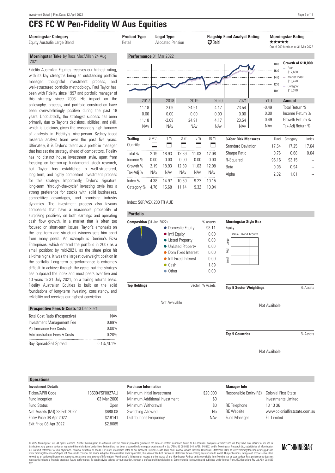#### **Morningstar Category Product Type Type Rating Ratingal Type Rating Ratingal Type Ratingal Ratingal Type Ratingal Ratingal Ratingal Ratingal Ratingal Ratingal Ratingal Ratingal Ratingal Ratingal Ratingal Ratingal Ratinga**

#### **Morningstar Take** by Ross MacMillan 24 Aug 2021

Fidelity Australian Equities receives our highest rating, with its key strengths being an outstanding portfolio manager, thoughtful investment process, and well-structured portfolio methodology. Paul Taylor has been with Fidelity since 1997 and portfolio manager of this strategy since 2003. His impact on the philosophy, process, and portfolio construction have been overwhelmingly positive during the past 18 years. Undoubtedly, the strategy's success has been primarily due to Taylor's decisions, abilities, and skill, which is judicious, given the reasonably high turnover of analysts in Fidelity's nine-person Sydney-based research analyst team over the past five years. Ultimately, it is Taylor's talent as a portfolio manager that has set the strategy ahead of competitors. Fidelity has no distinct house investment style, apart from focusing on bottom-up fundamental stock research, but Taylor has established a well-structured, long-term, and highly competent investment process for this strategy. Importantly, Taylor's signature long-term "through-the-cycle" investing style has a strong preference for stocks with solid businesses, competitive advantages, and promising industry dynamics. The investment process also favours companies that have a reasonable probability of surprising positively on both earnings and operating cash flow growth. In a market that is often too focused on short-term issues, Taylor's emphasis on the long term and structural winners sets him apart from many peers. An example is Domino's Pizza Enterprises, which entered the portfolio in 2007 as a small position; by mid-2021, as the share price hit all-time highs, it was the largest overweight position in the portfolio. Long-term outperformance is extremely difficult to achieve through the cycle, but the strategy has outpaced the index and most peers over five and 10 years to 31 July 2021, on a trailing returns basis. Fidelity Australian Equities is built on the solid foundations of long-term investing, consistency, and reliability and receives our highest conviction.

| <b>Prospective rees a costs</b> 13 Dec 2021 |               |
|---------------------------------------------|---------------|
| <b>Total Cost Ratio (Prospective)</b>       | NAv           |
| Investment Management Fee                   | 0.89%         |
| Performance Fee Costs                       | 0.00%         |
| <b>Administration Fees &amp; Costs</b>      | 0.20%         |
| <b>Buv Spread/Sell Spread</b>               | $0.1\%$ /0.1% |

**Prospective Fees & Costs** 13 Dec 2021

#### **Operations**

| <b>Investment Details</b>    |                 |
|------------------------------|-----------------|
| Ticker/APIR Code             | 13539/FSF0827AU |
| Fund Inception               | 03 Mar 2006     |
| <b>Fund Status</b>           | Open            |
| Net Assets (Mil) 28 Feb 2022 | \$688.08        |
| Entry Price 08 Apr 2022      | \$2.8141        |
| Exit Price 08 Apr 2022       | \$2,8085        |
|                              |                 |

| <b>Morningstar Category</b><br>Equity Australia Large Blend                                                                                                                                                                                                                                                                                  | <b>Product Type</b><br>Retail        |            | <b>Legal Type</b><br><b>Allocated Pension</b> |            |                                      | $\bigtriangledown$ Gold            | <b>Flagship Fund Analyst Rating</b>  | *****                                    | <b>Morningstar Rating</b><br>Out of 209 funds as at 31 Mar 2022                                |                          |
|----------------------------------------------------------------------------------------------------------------------------------------------------------------------------------------------------------------------------------------------------------------------------------------------------------------------------------------------|--------------------------------------|------------|-----------------------------------------------|------------|--------------------------------------|------------------------------------|--------------------------------------|------------------------------------------|------------------------------------------------------------------------------------------------|--------------------------|
| Morningstar Take by Ross MacMillan 24 Aug                                                                                                                                                                                                                                                                                                    | Performance 31 Mar 2022              |            |                                               |            |                                      |                                    |                                      |                                          |                                                                                                |                          |
| 2021<br>Fidelity Australian Equities receives our highest rating,<br>with its key strengths being an outstanding portfolio<br>manager, thoughtful investment process,<br>and<br>well-structured portfolio methodology. Paul Taylor has<br>been with Fidelity since 1997 and portfolio manager of                                             |                                      |            |                                               |            |                                      |                                    |                                      | $-180$<br>16.0<br>14.0<br>12.0<br>10K    | Growth of \$10,000<br>$=$ Fund<br>\$17,660<br>Market Index<br>\$16,420<br>Category<br>\$16,370 |                          |
| this strategy since 2003. His impact on the                                                                                                                                                                                                                                                                                                  | 2017                                 |            | 2018                                          |            | 2019                                 | 2020                               | 2021                                 | <b>YTD</b>                               | <b>Annual</b>                                                                                  |                          |
| philosophy, process, and portfolio construction have<br>been overwhelmingly positive during the past 18<br>years. Undoubtedly, the strategy's success has been<br>primarily due to Taylor's decisions, abilities, and skill,<br>which is judicious, given the reasonably high turnover<br>of analysts in Fidelity's nine-person Sydney-based | 11.18<br>0.00<br>11.18<br><b>NAv</b> |            | $-2.09$<br>0.00<br>$-2.09$<br><b>NAv</b>      |            | 24.91<br>0.00<br>24.91<br><b>NAv</b> | 4.17<br>0.00<br>4.17<br><b>NAv</b> | 23.54<br>0.00<br>23.54<br><b>NAv</b> | $-0.49$<br>0.00<br>$-0.49$<br><b>NAv</b> | Total Return %<br>Income Return %<br>Growth Return %<br>Tax-Adj Return %                       |                          |
| research analyst team over the past five years.                                                                                                                                                                                                                                                                                              | <b>Trailing</b>                      | 6 Mth      | 1 Yr                                          | 3 Yr       | 5Yr                                  | 10 Yr                              | <b>3-Year Risk Measures</b>          | Fund                                     | Category                                                                                       | Index                    |
| Ultimately, it is Taylor's talent as a portfolio manager                                                                                                                                                                                                                                                                                     | Quartile                             | ⊟          | ═                                             | Ξ          |                                      | ⊟                                  | <b>Standard Deviation</b>            | 17.54                                    | 17.25                                                                                          | 17.64                    |
| that has set the strategy ahead of competitors. Fidelity                                                                                                                                                                                                                                                                                     | Total %                              | 2.19       | 18.93                                         | 12.89      | 11.03                                | 12.08                              | Sharpe Ratio                         | 0.76                                     | 0.68                                                                                           | 0.64                     |
| has no distinct house investment style, apart from<br>focusing on bottom-up fundamental stock research,                                                                                                                                                                                                                                      | Income %                             | 0.00       | 0.00                                          | 0.00       | 0.00                                 | 0.00                               | R-Squared                            | 96.16                                    | 93.15                                                                                          |                          |
| but Taylor has established a well-structured,                                                                                                                                                                                                                                                                                                | Growth %                             | 2.19       | 18.93                                         | 12.89      | 11.03                                | 12.08                              | Beta                                 | 0.98                                     | 0.94                                                                                           | $\overline{\phantom{a}}$ |
| long-term, and highly competent investment process                                                                                                                                                                                                                                                                                           | Tax-Adj %                            | <b>NAv</b> | <b>NAv</b>                                    | <b>NAv</b> | NAv                                  | NAv                                | Alpha                                | 2.32                                     | 1.01                                                                                           |                          |
| strategy. Importantly, Taylor's signature<br>for this                                                                                                                                                                                                                                                                                        | Index $%$                            | 4.38       | 14.97                                         | 10.59      | 9.22                                 | 10.15                              |                                      |                                          |                                                                                                |                          |
| long-term "through-the-cycle" investing style has a                                                                                                                                                                                                                                                                                          | Category %                           | 4.76       | 15.68                                         | 11.14      | 9.32                                 | 10.04                              |                                      |                                          |                                                                                                |                          |

#### Index: S&P/ASX 200 TR AUD



Not Available



Not Available

Not Available

#### **Purchase Information**

| Minimum Initial Investment    | \$20,000 |
|-------------------------------|----------|
| Minimum Additional Investment | \$0      |
| Minimum Withdrawal            | \$0      |
| Switching Allowed             | N٥       |
| Distributions Frequency       | NAv      |
|                               |          |

#### **Manager Info** Responsible Entity(RE) Colonial First State Investments Limited RE Teleph

| RE Telephone        | 13 13 36                      |
|---------------------|-------------------------------|
| <b>RF</b> Website   | www.colonialfirststate.com.au |
| <b>Fund Manager</b> | FII I imited                  |

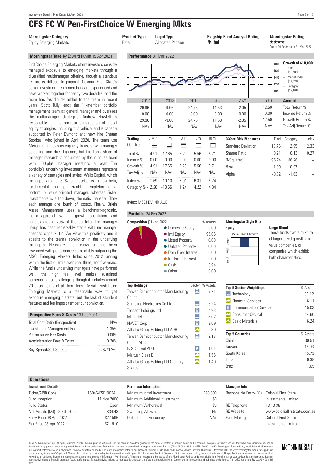### **CFS FC W Pen-FirstChoice W Emerging Mkts**

#### **Morningstar Take** by Edward Huynh 15 Apr 2021

FirstChoice Emerging Markets offers investors sensibly managed exposure to emerging markets through a diversified multimanager offering, though a standout feature is difficult to pinpoint. Colonial First State's senior investment team members are experienced and have worked together for nearly two decades, and the team has fastidiously added to the team in recent years. Scott Tully leads the 11-member portfolio management team as general manager and oversees the multimanager strategies. Andrew Howlett is responsible for the portfolio construction of global equity strategies, including this vehicle, and is capably supported by Peter Dymond and new hire Chetan Soorkea, who joined in April 2020. The team use Mercer in an advisory capacity to assist with manager screening and due diligence, but the lion's share of manager research is conducted by the in-house team with 600-plus manager meetings a year. The portfolio's underlying investment managers represent a variety of strategies and styles. Wells Capital, which manages around 30% of assets, is a low-beta, fundamental manager. Franklin Templeton is a bottom-up, value-oriented manager, whereas Fisher Investments is a top-down, thematic manager. They each manage one fourth of assets. Finally, Origin Asset Management uses a benchmark-agnostic, factor approach with a growth orientation, and handles around 20% of the portfolio. The manager lineup has been remarkably stable with no manager changes since 2012. We view this positively and it speaks to the team's conviction in the underlying managers. Pleasingly, their conviction has been rewarded with performance comfortably outpacing the MSCI Emerging Markets Index since 2012 landing within the first quartile over one, three, and five years. While the fund's underlying managers have performed well, the high fee level makes sustained outperformance challenging, though it includes around 20 basis points of platform fees. Overall, FirstChoice Emerging Markets is a reasonable way to get exposure emerging markets, but the lack of standout features and fee impost temper our conviction.

| <b>Prospective Fees &amp; Costs 13 Dec 2021</b> |               |  |
|-------------------------------------------------|---------------|--|
| <b>Total Cost Ratio (Prospective)</b>           | NAv           |  |
| Investment Management Fee                       | 1.35%         |  |
| Performance Fee Costs                           | 0.00%         |  |
| <b>Administration Fees &amp; Costs</b>          | 0.20%         |  |
| <b>Buy Spread/Sell Spread</b>                   | $0.2\%$ /0.2% |  |

#### **Operations**

| <b>Investment Details</b>    |                 |
|------------------------------|-----------------|
| Ticker/APIR Code             | 16846/FSF1002AU |
| Fund Inception               | 17 Nov 2008     |
| <b>Fund Status</b>           | Open            |
| Net Assets (Mil) 28 Feb 2022 | \$34.43         |
| Entry Price 08 Apr 2022      | \$2.1596        |
| Exit Price 08 Apr 2022       | \$2.1510        |



#### Index: MSCI EM NR AUD

#### **Portfolio** 28 Feb 2022



| <b>Top Holdings</b>                |     | Sector % Assets |
|------------------------------------|-----|-----------------|
| Taiwan Semiconductor Manufacturing | 口   | 7.21            |
| Co I td                            |     |                 |
| Samsung Electronics Co Ltd         | Д   | ჩ 24            |
| Tencent Holdings Ltd               | €   | 4.93            |
| MediaTek Inc                       | Д   | 3.07            |
| NAVER Corp                         | €   | 2.69            |
| Alibaba Group Holding Ltd ADR      | ♠   | 2.30            |
| Taiwan Semiconductor Manufacturing | Д   | 2 17            |
| Co I td ADR                        |     |                 |
| P.J.SC Lukoil ADR                  | Ió. | 1.61            |
| Meituan Class B                    | ♠   | 1.56            |
| Alibaba Group Holding Ltd Ordinary |     | 1.40            |
| Shares                             |     |                 |

#### **Morningstar Style Box**



#### **Large Blend**

These funds own a mixture of larger-sized growth and value companies, or companies which exhibit both characteristics.

| <b>Top 5 Sector Weightings</b> | % Assets |
|--------------------------------|----------|
| Technology<br>L.               | 30.12    |
| <b>Financial Services</b>      | 16.11    |
| <b>Communication Services</b>  | 15.03    |
| Consumer Cyclical              | 14 60    |
| <b>Basic Materials</b>         | 6 24     |
| <b>Top 5 Countries</b>         | % Assets |
| China                          | 30.51    |
| Taiwan                         | 18.03    |
| South Korea                    | 15.73    |
| India                          | 9.38     |
| Brazil                         | 7.05     |

#### **Manager Info**

| Minimum Initial Investment    | \$20,000 | Responsible Entity(RE) Colonial First State |                                                    |
|-------------------------------|----------|---------------------------------------------|----------------------------------------------------|
| Minimum Additional Investment | \$0      |                                             | Investments Limited                                |
| Minimum Withdrawal            | $\$0$    | <b>RE</b> Telephone                         | 13 13 36                                           |
| Switching Allowed             | No       | <b>RF</b> Website                           | www.colonialfirststate.com.au                      |
| Distributions Frequency       | NAv      | Fund Manager                                | <b>Colonial First State</b><br>Investments Limited |

© 2022 Morningstar, Inc. All rights reserved. Neither Morningstar, its affiliates, nor the content providers guarantee the data or content contained herein to be accurate, complete or timely nor will they have any liabilit Inc, without reference to your objectives, financial situation or needs. For more information refer to our Financial Services Guide (AU) and Financial Advice Provider Disclosure Statement (NZ) at www.morningstar.com.au/s/f Let Durangstar, inc. An riguns research and the tender information and the content provides and an explorement incompleted financial advise the summer properted by Momingstar Australias Pty Ltd ABN: 95.990 665.544, AFSL: 2

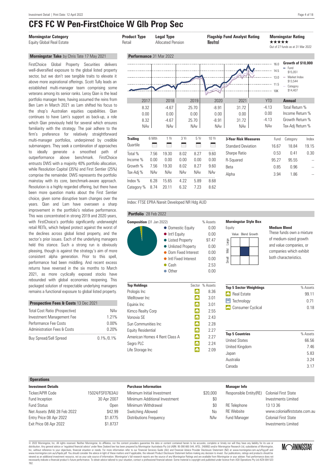### **CFS FC W Pen-FirstChoice W Glb Prop Sec** ....................................................................................................................................................................................................................................................................................

### **Morningstar Take** by Chris Tate 17 May 2021

FirstChoice Global Property Securities delivers well-diversified exposure to the global listed property sector, but we don't see tangible traits to elevate it above more aspirational offerings. Scott Tully leads an established multi-manager team comprising some veterans among its senior ranks. Leroy Qian is the lead portfolio manager here, having assumed the reins from Ben Lam in March 2021 as Lam shifted his focus to the shop's Australian equities capabilities. Qian continues to have Lam's support as back-up, a role which Qian previously held for several which ensures familiarity with the strategy. The pair adhere to the firm's preference for relatively straightforward multi-manager portfolios, underpinned by credible submanagers. They seek a combination of approaches to ideally generate a smoothed path of outperformance above benchmark. FirstChoice entrusts DWS with a majority 40% portfolio allocation, while Resolution Capital (35%) and First Sentier (25%) comprise the remainder. DWS represents the portfolio mainstay with its core, benchmark-aware approach. Resolution is a highly regarded offering, but there have been more question marks about the First Sentier choice, given some disruptive team changes over the years. Qian and Lam have overseen a sharp improvement in the portfolio's relative performance. This was concentrated in strong 2019 and 2020 years, with FirstChoice's portfolio significantly underweight retail REITs, which helped protect against the worst of the declines across global listed property, and the sector's prior issues. Each of the underlying managers held this stance. Such a strong run is obviously pleasing, though is against the strategy's aim of more consistent alpha generation. Prior to this spell, performance had been middling. And recent excess returns have reversed in the six months to March 2021, as more cyclically exposed stocks have rebounded with global economies reopening. This packaged solution of respectable underlying managers remains a functional exposure to global listed property.

| <b>Prospective Fees &amp; Costs 13 Dec 2021</b> |               |  |
|-------------------------------------------------|---------------|--|
| Total Cost Ratio (Prospective)                  | NAv           |  |
| Investment Management Fee                       | 1 21%         |  |
| Performance Fee Costs                           | $0.00\%$      |  |
| <b>Administration Fees &amp; Costs</b>          | 0.20%         |  |
| <b>Buy Spread/Sell Spread</b>                   | $0.1\%$ /0.1% |  |



#### Index: FTSE EPRA Nareit Developed NR Hdg AUD

#### **Portfolio** 28 Feb 2022



| <b>Top Holdings</b>           | Sector | % Assets |
|-------------------------------|--------|----------|
| Prologis Inc                  | 曲      | 8.36     |
| Welltower Inc                 | 侖      | 3.01     |
| Equinix Inc                   | 侖      | 3.01     |
| Kimco Realty Corp             | i fiti | 2.55     |
| Vonovia SF                    | i film | 2.43     |
| Sun Communities Inc.          | i film | 2.28     |
| <b>Equity Residential</b>     | 孟      | 2.27     |
| American Homes 4 Rent Class A | 孟      | 2.27     |
| Segro PLC                     | 侖      | 2.24     |
| Life Storage Inc              | æ      | 2 0.9    |

#### **Morningstar Style Box**



#### **Medium Blend**

These funds own a mixture of medium-sized growth and value companies, or companies which exhibit both characteristics.

| <b>Top 5 Sector Weightings</b> | % Assets |
|--------------------------------|----------|
| <b>n</b> Real Estate           | 99 11    |
| $\Box$ Technology              | 0.71     |
| Consumer Cyclical              | 0 18     |

| <b>Top 5 Countries</b> | % Assets |
|------------------------|----------|
| <b>United States</b>   | 66.56    |
| United Kingdom         | 746      |
| Japan                  | 5.83     |
| Australia              | 3 24     |
| Canada                 | 3 1 7    |
|                        |          |

#### **Operations**

| <b>Investment Details</b>    |                 |
|------------------------------|-----------------|
| Ticker/APIR Code             | 15024/FSF0763AU |
| Fund Inception               | 30 Apr 2007     |
| <b>Fund Status</b>           | Open            |
| Net Assets (Mil) 28 Feb 2022 | \$42.99         |
| Entry Price 08 Apr 2022      | \$1.8775        |
| Exit Price 08 Apr 2022       | \$1,8737        |
|                              |                 |

#### **Purchase Information**

| Minimum Initial Investment    | \$20,000 |
|-------------------------------|----------|
| Minimum Additional Investment | \$0      |
| Minimum Withdrawal            | \$0      |
| Switching Allowed             | N٥       |
| Distributions Frequency       | NAv      |
|                               |          |

#### **Manager Info**

\$20,000

| Responsible Entity (RE) Colonial First State |                               |
|----------------------------------------------|-------------------------------|
|                                              | Investments Limited           |
| <b>RE</b> Telephone                          | 13 13 36                      |
| <b>RF</b> Website                            | www.colonialfirststate.com.au |
| Fund Manager                                 | Colonial First State          |
|                                              | Investments Limited           |

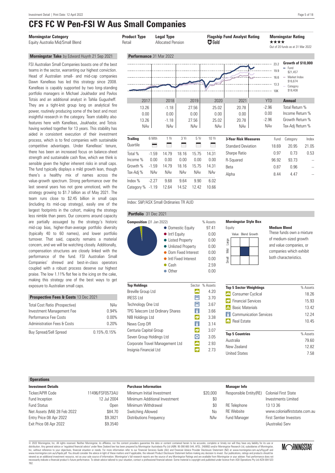## **CFS FC W Pen-FSI W Aus Small Companies**

### **Morningstar Take** by Edward Huynh 21 Sep 2021

FSI Australian Small Companies boasts one of the best teams in the sector, warranting our highest conviction. Head of Australian small- and mid-cap companies Dawn Kanelleas has led this strategy since 2008. Kanelleas is capably supported by two long-standing portfolio managers in Michael Joukhador and Pavlos Totsis and an additional analyst in Tahlia Gugusheff. They are a tight-knit group long on analytical fire power, routinely producing some of the best and most insightful research in the category. Team stability also features here with Kanelleas, Joukhador, and Totsis having worked together for 13 years. This stability has aided in consistent execution of their investment process, which is to find companies with sustainable competitive advantages. Under Kanelleas' tenure, there has been an increased focus on balance-sheet strength and sustainable cash flow, which we think is sensible given the higher inherent risks in small caps. The fund typically displays a mild growth lean, though there's a healthy mix of names across the value-growth spectrum. Strong performance over the last several years has not gone unnoticed, with the strategy growing to \$1.7 billion as of May 2021. The team runs close to \$2.45 billion in small caps (including its mid-cap strategy), easily one of the largest footprints in the cohort, making the strategy less nimble than peers. Our concerns around capacity are partially assuaged by the strategy's historic mid-cap bias, higher-than-average portfolio diversity (typically 40 to 60 names), and lower portfolio turnover. That said, capacity remains a material concern, and we will be watching closely. Additionally, compensation structures are closely linked with the performance of the fund. FSI Australian Small Companies' shrewd and best-in-class operators coupled with a robust process deserve our highest praise. The low 1.11% flat fee is the icing on the cake, making this strategy one of the best ways to get exposure to Australian small caps.

| <b>Prospective Fees &amp; Costs 13 Dec 2021</b> |                 |
|-------------------------------------------------|-----------------|
| <b>Total Cost Ratio (Prospective)</b>           | NAv             |
| Investment Management Fee                       | 0.94%           |
| Performance Fee Costs                           | $0.00\%$        |
| <b>Administration Fees &amp; Costs</b>          | 0.20%           |
| <b>Buy Spread/Sell Spread</b>                   | $0.15\%$ /0.15% |



#### Index: S&P/ASX Small Ordinaries TR AUD

#### **Portfolio** 31 Dec 2021



| <b>Top Holdings</b>             |                 | Sector % Assets |
|---------------------------------|-----------------|-----------------|
| <b>Breville Group Ltd</b>       |                 | 4.20            |
| <b>IRESS Ltd</b>                | Д               | 3.70            |
| Technology One Ltd              | Д               | 3.67            |
| TPG Telecom Ltd Ordinary Shares | $\vert$ $\vert$ | 3.66            |
| NIB Holdings Ltd                | G)              | 3.38            |
| News Corp DR                    | ⊪               | 3.14            |
| Centuria Capital Group          | I.              | 3.07            |
| Seven Group Holdings Ltd        | I۵              | 3.05            |
| Corporate Travel Management Ltd | A               | 2.93            |
| Insignia Financial Ltd          |                 | 273             |
|                                 |                 |                 |

#### **Morningstar Style Box**



#### **Medium Blend**

These funds own a mixture of medium-sized growth and value companies, or companies which exhibit both characteristics.

| <b>Top 5 Sector Weightings</b> | % Assets |
|--------------------------------|----------|
| Consumer Cyclical              | 18.26    |
| <b>C</b> Financial Services    | 15.93    |
| <b>Basic Materials</b><br>Æ.   | 13.42    |
| <b>Communication Services</b>  | 12 24    |
| <b>Real Estate</b>             | 10.45    |
| <b>Top 5 Countries</b>         | % Assets |
| Australia                      | 79.60    |
| New Zealand                    | 12.82    |
| <b>United States</b>           | 7.58     |

#### **Operations**

| <b>Investment Details</b>    |                 |
|------------------------------|-----------------|
| Ticker/APIR Code             | 11496/FSF0573AU |
| Fund Inception               | 12 Jul 2004     |
| <b>Fund Status</b>           | Open            |
| Net Assets (Mil) 28 Feb 2022 | \$84.70         |
| Entry Price 08 Apr 2022      | \$9.3821        |
| Exit Price 08 Apr 2022       | \$9.3540        |
|                              |                 |

#### **Purchase Information**

| Minimum Initial Investment    | \$20,000 |
|-------------------------------|----------|
| Minimum Additional Investment | \$0      |
| Minimum Withdrawal            | \$0      |
| Switching Allowed             | No       |
| Distributions Frequency       | NAv      |
|                               |          |

|          | <b>Manager Info</b>                          |                                |
|----------|----------------------------------------------|--------------------------------|
| \$20,000 | Responsible Entity (RE) Colonial First State |                                |
| \$0      |                                              | Investments Limited            |
| \$0      | RE Telephone                                 | 13 13 36                       |
| No       | <b>RF</b> Website                            | www.colonialfirststate.com.au  |
| NAv      | <b>Fund Manager</b>                          | <b>First Sentier Investors</b> |
|          |                                              | (Australia) Serv               |

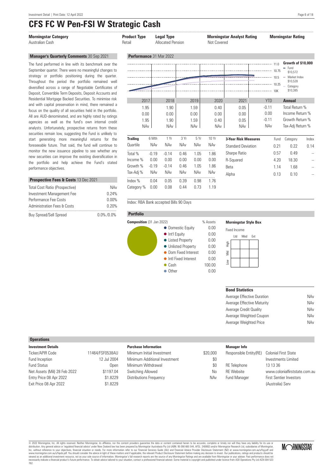Performance Fee Costs 0.00% Administration Fees & Costs 0.20% ..................................................................................... Buy Spread/Sell Spread 0.0% / 0.0%

### **CFS FC W Pen-FSI W Strategic Cash**

| <b>Morningstar Category</b><br>Australian Cash                                                                                                                                                                                                                                                                                                                                                                                                                                                                                                                                                                                                                                                                              |                     | <b>Product Type</b><br>Retail       |            | <b>Legal Type</b><br><b>Allocated Pension</b> |            |                                            | Not Covered                                | <b>Morningstar Analyst Rating</b>            |                                                        | <b>Morningstar Rating</b>                                                                                                                                                                     |       |
|-----------------------------------------------------------------------------------------------------------------------------------------------------------------------------------------------------------------------------------------------------------------------------------------------------------------------------------------------------------------------------------------------------------------------------------------------------------------------------------------------------------------------------------------------------------------------------------------------------------------------------------------------------------------------------------------------------------------------------|---------------------|-------------------------------------|------------|-----------------------------------------------|------------|--------------------------------------------|--------------------------------------------|----------------------------------------------|--------------------------------------------------------|-----------------------------------------------------------------------------------------------------------------------------------------------------------------------------------------------|-------|
| <b>Manager's Quarterly Comments 30 Sep 2021</b>                                                                                                                                                                                                                                                                                                                                                                                                                                                                                                                                                                                                                                                                             |                     | Performance 31 Mar 2022             |            |                                               |            |                                            |                                            |                                              |                                                        |                                                                                                                                                                                               |       |
| The fund performed in line with its benchmark over the<br>September quarter. There were no meaningful changes to<br>strategy or portfolio positioning during the quarter.<br>Throughout the period the portfolio remained well<br>diversified across a range of Negotiable Certificates of<br>Deposit, Convertible Term Deposits, Deposit Accounts and<br>Residential Mortgage Backed Securities. To minimise risk<br>and with capital preservation in mind, there remained a<br>focus on the quality of all securities held in the portfolio.<br>All are AUD-denominated, and are highly rated by ratings<br>agencies as well as the fund's own internal credit<br>analysts. Unfortunately, prospective returns from these |                     | 2017<br>1.95<br>0.00<br>1.95<br>NAv |            | 2018<br>1.90<br>0.00<br>1.90<br><b>NAv</b>    |            | 2019<br>1.59<br>0.00<br>1.59<br><b>NAv</b> | 2020<br>0.40<br>0.00<br>0.40<br><b>NAv</b> | 10.25<br>2021<br>0.05<br>0.00<br>0.05<br>NAv | <b>YTD</b><br>$-0.11$<br>0.00<br>$-0.11$<br><b>NAv</b> | Growth of \$10,000<br>$=$ Fund<br>\$10.572<br>- Market Index<br>\$10,528<br>Category<br>\$10,385<br><b>Annual</b><br>Total Return %<br>Income Return %<br>Growth Return %<br>Tax-Adj Return % |       |
| securities remain low, suggesting the Fund is unlikely to<br>start generating more meaningful returns for the                                                                                                                                                                                                                                                                                                                                                                                                                                                                                                                                                                                                               |                     | <b>Trailing</b>                     | 6 Mth      | 1 Yr                                          | 3 Yr       | 5 Yr                                       | 10 Yr                                      | <b>3-Year Risk Measures</b>                  | Fund                                                   | Category                                                                                                                                                                                      | Index |
| foreseeable future. That said, the fund will continue to                                                                                                                                                                                                                                                                                                                                                                                                                                                                                                                                                                                                                                                                    |                     | Quartile                            | NAv        | <b>NAv</b>                                    | <b>NAv</b> | <b>NAv</b>                                 | NAv                                        | <b>Standard Deviation</b>                    | 0.21                                                   | 0.22                                                                                                                                                                                          | 0.14  |
| monitor the new issuance pipeline to see whether any                                                                                                                                                                                                                                                                                                                                                                                                                                                                                                                                                                                                                                                                        |                     | Total %                             | $-0.19$    | $-0.14$                                       | 0.46       | 1.05                                       | 1.86                                       | Sharpe Ratio                                 | 0.57                                                   | 0.49                                                                                                                                                                                          |       |
| new securities can improve the existing diversification in                                                                                                                                                                                                                                                                                                                                                                                                                                                                                                                                                                                                                                                                  |                     | Income %                            | 0.00       | 0.00                                          | 0.00       | 0.00                                       | 0.00                                       | R-Squared                                    | 4.20                                                   | 18.30                                                                                                                                                                                         |       |
| the portfolio and help achieve the Fund's stated<br>performance objectives.                                                                                                                                                                                                                                                                                                                                                                                                                                                                                                                                                                                                                                                 |                     | Growth %                            | $-0.19$    | $-0.14$                                       | 0.46       | 1.05                                       | 1.86                                       | Beta                                         | 1.14                                                   | 1.68                                                                                                                                                                                          |       |
|                                                                                                                                                                                                                                                                                                                                                                                                                                                                                                                                                                                                                                                                                                                             |                     | Tax-Adj %                           | <b>NAv</b> | <b>NAv</b>                                    | NAv        | NAv                                        | NAv                                        | Alpha                                        | 0.13                                                   | 0.10                                                                                                                                                                                          |       |
| Prospective Fees & Costs 13 Dec 2021                                                                                                                                                                                                                                                                                                                                                                                                                                                                                                                                                                                                                                                                                        |                     | Index $%$                           | 0.04       | 0.05                                          | 0.39       | 0.98                                       | 1.76                                       |                                              |                                                        |                                                                                                                                                                                               |       |
| Total Cost Ratio (Prospective)<br>Investment Management Fee                                                                                                                                                                                                                                                                                                                                                                                                                                                                                                                                                                                                                                                                 | <b>NAv</b><br>0.24% | Category %                          | 0.00       | 0.08                                          | 0.44       | 0.73                                       | 1.19                                       |                                              |                                                        |                                                                                                                                                                                               |       |

Index: RBA Bank accepted Bills 90 Days





#### **Morningstar Style Box**

| <b>Fixed Income</b> |     |     |     |  |  |
|---------------------|-----|-----|-----|--|--|
|                     | Ltd | Mod | Ext |  |  |
|                     |     |     |     |  |  |
| Low Mid High        |     |     |     |  |  |
|                     |     |     |     |  |  |
|                     |     |     |     |  |  |
|                     |     |     |     |  |  |

#### **Bond Statistics**

| Average Effective Duration | NAv |
|----------------------------|-----|
| Average Effective Maturity | NAv |
| Average Credit Qualitv     | NAv |
| Average Weighted Coupon    | NAv |
| Average Weighted Price     | NAv |

#### **Operations**

| <b>Investment Details</b>    |                 |
|------------------------------|-----------------|
| Ticker/APIR Code             | 11464/FSF0538AU |
| Fund Inception               | 12 Jul 2004     |
| <b>Fund Status</b>           | Open            |
| Net Assets (Mil) 28 Feb 2022 | \$1197.04       |
| Entry Price 08 Apr 2022      | \$1,8229        |

Exit Price 08 Apr 2022 \$1.8229

#### **Purchase Information**

| Minimum Initial Investment    | \$20,000 |
|-------------------------------|----------|
| Minimum Additional Investment | \$0      |
| Minimum Withdrawal            | \$0      |
| Switching Allowed             | N٥       |
| Distributions Frequency       | NAv      |
|                               |          |

#### **Manager Info**

| )00 | Responsible Entity(RE) | <b>Colonial First State</b>    |
|-----|------------------------|--------------------------------|
| \$0 |                        | Investments Limited            |
| \$0 | RE Telephone           | 13 13 36                       |
| No  | <b>RF</b> Website      | www.colonialfirststate.com.au  |
| JAv | Fund Manager           | <b>First Sentier Investors</b> |
|     |                        | (Australia) Serv               |

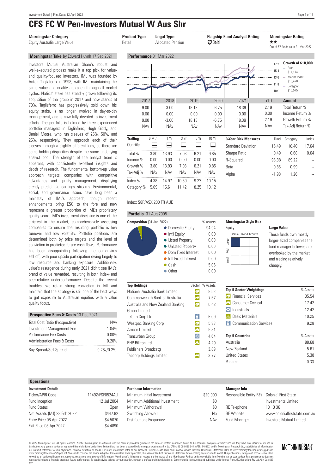## **CFS FC W Pen-Investors Mutual W Aus Shr**

#### Equity Australia Large Value **Callocated Pension Allocated Pension Allocated Pension Addition Allocated Pension A**

#### **Morningstar Take** by Edward Huynh 17 Sep 2021

Investors Mutual Australian Share's robust and well-executed process make it a top pick for valueand quality-focused investors. IML was founded by Anton Tagliaferro in 1998, with IML maintaining the same value and quality approach through all market cycles. Natixis' stake has steadily grown following its acquisition of the group in 2017 and now stands at 70%. Tagliaferro has progressively sold down his equity stake, is no longer involved in day-to-day management, and is now fully devoted to investment efforts. The portfolio is helmed by three experienced portfolio managers in Tagliaferro, Hugh Giddy, and Daniel Moore, who run sleeves of 25%, 50%, and 25%, respectively. They approach each of their sleeves through a slightly different lens, so there are some holding disparities despite the same underlying analyst pool. The strength of the analyst team is apparent, with consistently excellent insights and depth of research. The fundamental bottom-up value approach targets companies with competitive advantages and quality management, displaying steady predictable earnings streams. Environmental, social, and governance issues have long been a mainstay of IML's approach, though recent enhancements bring ESG to the fore and now represent a greater proportion of IML's proprietary quality score. IML's investment discipline is one of the strictest in the market, comprehensively assessing companies to ensure the resulting portfolio is low turnover and low volatility. Portfolio positions are determined both by price targets and the level of conviction in predicted future cash flows. Performance has been disappointing following the coronavirus sell-off, with poor upside participation owing largely to low resource and banking exposure. Additionally, value's resurgence during early 2021 didn't see IML's brand of value rewarded, resulting in both index- and peer-relative underperformance. Despite the recent troubles, we retain strong conviction in IML and maintain that the strategy is still one of the best ways to get exposure to Australian equities with a value quality focus.

| Prospective Fees & Costs 13 Dec 2021   |               |  |  |  |
|----------------------------------------|---------------|--|--|--|
| Total Cost Ratio (Prospective)         | NAv           |  |  |  |
| Investment Management Fee              | 1 04%         |  |  |  |
| Performance Fee Costs                  | 0.00%         |  |  |  |
| <b>Administration Fees &amp; Costs</b> | 0.20%         |  |  |  |
| <b>Buy Spread/Sell Spread</b>          | $0.2\%$ /0.2% |  |  |  |

| <b>Morningstar Category</b><br>Equity Australia Large Value                                                                                                                                                                                                                                                                        | <b>Product Type</b><br>Retail |              | <b>Legal Type</b><br><b>Allocated Pension</b> |                | <b>Flagship Fund Analyst Rating</b><br><b>E3</b> Gold |                                               | <b>Morningstar Rating</b><br>**<br>Out of 67 funds as at 31 Mar 2022 |                                 |                                                                                                |       |
|------------------------------------------------------------------------------------------------------------------------------------------------------------------------------------------------------------------------------------------------------------------------------------------------------------------------------------|-------------------------------|--------------|-----------------------------------------------|----------------|-------------------------------------------------------|-----------------------------------------------|----------------------------------------------------------------------|---------------------------------|------------------------------------------------------------------------------------------------|-------|
| Morningstar Take by Edward Huynh 17 Sep 2021                                                                                                                                                                                                                                                                                       | Performance 31 Mar 2022       |              |                                               |                |                                                       |                                               |                                                                      |                                 |                                                                                                |       |
| Investors Mutual Australian Share's robust and<br>well-executed process make it a top pick for value-<br>and quality-focused investors. IML was founded by<br>Anton Tagliaferro in 1998, with IML maintaining the<br>same value and quality approach through all market<br>cycles. Natixis' stake has steadily grown following its |                               |              |                                               |                |                                                       |                                               |                                                                      | 15.4<br>1.<br>136<br>118<br>10K | Growth of \$10,000<br>- Fund<br>\$14,174<br>- Market Index<br>\$16,420<br>Category<br>\$15,575 |       |
| acquisition of the group in 2017 and now stands at                                                                                                                                                                                                                                                                                 | 2017                          |              | 2018                                          |                | 2019                                                  | 2020                                          | 2021                                                                 | <b>YTD</b>                      | <b>Annual</b>                                                                                  |       |
| 70%. Tagliaferro has progressively sold down his<br>equity stake, is no longer involved in day-to-day<br>management, and is now fully devoted to investment<br>efforts. The portfolio is helmed by three experienced<br>portfolio managers in Tagliaferro, Hugh Giddy, and<br>Daniel Moore, who run sleeves of 25%, 50%, and       | 9.00<br>0.00<br>9.00<br>NAv   |              | $-3.00$<br>0.00<br>$-3.00$<br>NAv             |                | 18.13<br>0.00<br>18.13<br><b>NAv</b>                  | $-6.75$<br>0.00<br>$-6.75$<br>NA <sub>v</sub> | 18.39<br>0.00<br>18.39<br>NAv                                        | 2.19<br>0.00<br>2.19<br>NAv     | Total Return %<br>Income Return %<br>Growth Return %<br>Tax-Adj Return %                       |       |
| 25%, respectively. They approach each of their                                                                                                                                                                                                                                                                                     | <b>Trailing</b>               | 6 Mth        | 1 Yr                                          | 3 Yr           | 5 Yr                                                  | 10 Yr                                         | <b>3-Year Risk Measures</b>                                          | Fund                            | Category                                                                                       | Index |
| sleeves through a slightly different lens, so there are                                                                                                                                                                                                                                                                            | Quartile                      | ═            | Ξ                                             | $\equiv$       | ⊟                                                     | ⋿                                             | <b>Standard Deviation</b>                                            | 15.49                           | 18.40                                                                                          | 17.64 |
| some holding disparities despite the same underlying                                                                                                                                                                                                                                                                               | Total %                       | 3.80         | 13.93                                         | 7.03           | 6.21                                                  | 9.85                                          | Sharpe Ratio                                                         | 0.49                            | 0.68                                                                                           | 0.64  |
| analyst pool. The strength of the analyst team is                                                                                                                                                                                                                                                                                  | Income %                      | 0.00         | 0.00                                          | 0.00           | 0.00                                                  | 0.00                                          | R-Squared                                                            | 93.38                           | 89.22                                                                                          |       |
| apparent, with consistently excellent insights and<br>depth of research. The fundamental bottom-up value                                                                                                                                                                                                                           | Growth %                      | 3.80         | 13.93                                         | 7.03           | 6.21                                                  | 9.85                                          | Beta                                                                 | 0.85                            | 0.99                                                                                           |       |
| approach targets companies with competitive                                                                                                                                                                                                                                                                                        | Tax-Adj %                     | NAv          | <b>NAv</b>                                    | <b>NAv</b>     | <b>NAv</b>                                            | NAv                                           | Alpha                                                                | $-1.98$                         | 1.26                                                                                           |       |
| advantages and quality management, displaying<br>steady predictable earnings streams. Environmental,<br>social, and governance issues have long been a                                                                                                                                                                             | Index %<br>Category %         | 4.38<br>5.09 | 14.97<br>15.61                                | 10.59<br>11.42 | 9.22<br>8.25                                          | 10.15<br>10.12                                |                                                                      |                                 |                                                                                                |       |

#### Index: S&P/ASX 200 TR AUD

#### **Portfolio** 31 Aug 2005



| <b>Top Holdings</b>               | Sector   | % Assets |
|-----------------------------------|----------|----------|
| National Australia Bank Limited   | ۴¢       | 8.53     |
| Commonwealth Bank of Australia    | G)       | 7.57     |
| Australia and New Zealand Banking | e        | 6.42     |
| Group Limited                     |          |          |
| Telstra Corp Ltd                  | 닯        | 6.09     |
| Westpac Banking Corp              | <b>q</b> | 5.83     |
| Amcor Limited                     | ♠        | 5.81     |
| Transurban Group                  | <b>D</b> | 4.64     |
| <b>BHP Billiton I td</b>          | A.       | 4.29     |
| Publishers Broadcstg              |          | 3.89     |
| <b>Tabcorp Holdings Limited</b>   |          | 3 77     |

#### **Morningstar Style Box**



#### **Large Value**

These funds own mostly larger-sized companies the fund manager believes are overlooked by the market and trading relatively cheaply.

| <b>Top 5 Sector Weightings</b> | % Assets |
|--------------------------------|----------|
| <b>Financial Services</b>      | 35.54    |
| Consumer Cyclical              | 17.42    |
| Industrials                    | 12.42    |
| <b>Basic Materials</b><br>Æ.   | 10.25    |
| <b>Communication Services</b>  | 9.28     |
| <b>Top 5 Countries</b>         | % Assets |
| Australia                      | 88.68    |
| New Zealand                    | 5.61     |
| <b>United States</b>           | 5.38     |
| Panama                         | 0.33     |

#### **Operations**

| <b>Investment Details</b>    |                 |
|------------------------------|-----------------|
| Ticker/APIR Code             | 11492/FSF0524AU |
| Fund Inception               | 12 Jul 2004     |
| <b>Fund Status</b>           | Open            |
| Net Assets (Mil) 28 Feb 2022 | \$447.92        |
| Entry Price 08 Apr 2022      | \$4,5070        |
| Exit Price 08 Apr 2022       | \$4.4890        |

#### **Purchase Information**

| Minimum Initial Investment    | \$20,000 |
|-------------------------------|----------|
| Minimum Additional Investment | \$0      |
| Minimum Withdrawal            | \$0      |
| Switching Allowed             | N٥       |
| Distributions Frequency       | NAv      |
|                               |          |

#### **Manager Info**

| \$20,000 | Responsible Entity(RE) Colonial First State |                                 |
|----------|---------------------------------------------|---------------------------------|
| \$0      |                                             | Investments Limited             |
| \$0      | RE Telephone                                | 13 13 36                        |
| No       | <b>RF</b> Website                           | www.colonialfirststate.com.au   |
| NAv      | Fund Manager                                | <b>Investors Mutual Limited</b> |

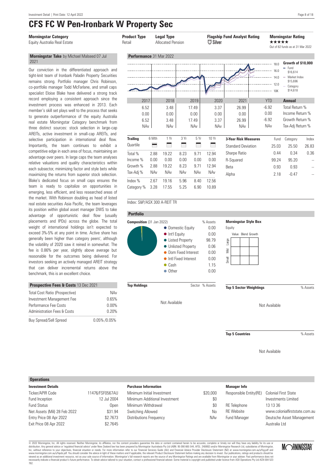## **CFS FC W Pen-Ironbark W Property Sec**

### **Morningstar Category Product Type Legal Type Flagship Fund Analyst Rating Morningstar Rating**

#### **Morningstar Take** by Michael Malseed 07 Jul 2021

Our conviction in the differentiated approach and tight-knit team of Ironbark Paladin Property Securities remains strong. Portfolio manager Chris Robinson, co-portfolio manager Todd McFarlane, and small caps specialist Eloise Blake have delivered a strong track record employing a consistent approach since the investment process was enhanced in 2013. Each member's skill set plays well to the process that seeks to generate outperformance of the equity Australia real estate Morningstar Category benchmark from three distinct sources: stock selection in large-cap AREITs, active investment in small-cap AREITs, and selective participation in international deal flow. Importantly, the team continues to exhibit a competitive edge in each area of focus, maintaining an advantage over peers. In large caps the team analyses relative valuations and quality characteristics within each subsector, minimizing factor and style bets while maximizing the returns from superior stock selection. Blake's dedicated focus on small caps ensures the team is ready to capitalize on opportunities in emerging, less efficient, and less researched areas of the market. With Robinson doubling as head of listed real estate securities Asia Pacific, the team leverages its position within global asset manager DWS to take advantage of opportunistic deal flow (usually placements and IPOs) across the globe. The total weight of international holdings isn't expected to exceed 3%-5% at any point in time. Active share has generally been higher than category peers', although the volatility of 2020 saw it reined in somewhat. The fee is 0.86% per year, slightly above average but reasonable for the outcomes being delivered. For investors seeking an actively managed AREIT strategy that can deliver incremental returns above the benchmark, this is an excellent choice.

| <b>Prospective Fees &amp; Costs 13 Dec 2021</b> |             |  |  |  |
|-------------------------------------------------|-------------|--|--|--|
| Total Cost Ratio (Prospective)                  | NAv         |  |  |  |
| Investment Management Fee                       | 0.65%       |  |  |  |
| Performance Fee Costs                           | 0.00%       |  |  |  |
| <b>Administration Fees &amp; Costs</b>          | 0.20%       |  |  |  |
| <b>Buy Spread/Sell Spread</b>                   | 0.05%/0.05% |  |  |  |

| <b>Morningstar Category</b><br>Equity Australia Real Estate                                                                                                                                                                                                                                                                                                                                                                                                                                                                                                                                                                | <b>Product Type</b><br>Retail       |              | <b>Legal Type</b><br><b>Allocated Pension</b> |              |                                                   | $\sqrt{3}$ Silver                               | <b>Flagship Fund Analyst Rating</b>   | *****                                                                                 | <b>Morningstar Rating</b><br>Out of 82 funds as at 31 Mar 2022                                                                                                                                      |       |
|----------------------------------------------------------------------------------------------------------------------------------------------------------------------------------------------------------------------------------------------------------------------------------------------------------------------------------------------------------------------------------------------------------------------------------------------------------------------------------------------------------------------------------------------------------------------------------------------------------------------------|-------------------------------------|--------------|-----------------------------------------------|--------------|---------------------------------------------------|-------------------------------------------------|---------------------------------------|---------------------------------------------------------------------------------------|-----------------------------------------------------------------------------------------------------------------------------------------------------------------------------------------------------|-------|
| Morningstar Take by Michael Malseed 07 Jul                                                                                                                                                                                                                                                                                                                                                                                                                                                                                                                                                                                 | Performance 31 Mar 2022             |              |                                               |              |                                                   |                                                 |                                       |                                                                                       |                                                                                                                                                                                                     |       |
| 2021<br>Our conviction in the differentiated approach and<br>tight-knit team of Ironbark Paladin Property Securities<br>remains strong. Portfolio manager Chris Robinson,<br>co-portfolio manager Todd McFarlane, and small caps<br>specialist Eloise Blake have delivered a strong track<br>record employing a consistent approach since the<br>investment process was enhanced in 2013. Each<br>member's skill set plays well to the process that seeks<br>to generate outperformance of the equity Australia<br>real estate Morningstar Category benchmark from<br>three distinct sources: stock selection in large-cap | 2017<br>6.52<br>0.00<br>6.52<br>NAv |              | 2018<br>3.48<br>0.00<br>3.48<br><b>NAv</b>    |              | 2019<br>17.49<br>0.00<br>17.49<br>NA <sub>v</sub> | 2020<br>3.37<br>0.00<br>3.37<br>NA <sub>v</sub> | 2021<br>26.99<br>0.00<br>26.99<br>NAv | 18.0<br>16.0<br>140<br>12.0<br>10K<br><b>YTD</b><br>$-6.92$<br>0.00<br>$-6.92$<br>NAv | Growth of \$10,000<br>$=$ Fund<br>\$16,614<br>$-$ Market Index<br>\$15,696<br>$-$ Category<br>\$14,618<br><b>Annual</b><br>Total Return %<br>Income Return %<br>Growth Return %<br>Tax-Adj Return % |       |
| AREITs, active investment in small-cap AREITs, and<br>selective participation in international deal flow.                                                                                                                                                                                                                                                                                                                                                                                                                                                                                                                  | <b>Trailing</b>                     | 6 Mth        | 1 Yr                                          | 3 Yr         | 5 Yr                                              | 10Yr                                            | <b>3-Year Risk Measures</b>           | Fund                                                                                  | Category                                                                                                                                                                                            | Index |
| Importantly, the team continues to exhibit a                                                                                                                                                                                                                                                                                                                                                                                                                                                                                                                                                                               | Quartile                            | ▬            | ⋿                                             | Ξ            | Е                                                 | ⋿                                               | <b>Standard Deviation</b>             | 25.03                                                                                 | 25.50                                                                                                                                                                                               | 26.83 |
| competitive edge in each area of focus, maintaining an                                                                                                                                                                                                                                                                                                                                                                                                                                                                                                                                                                     | Total %                             | 2.88         | 19.22                                         | 8.23         | 9.71                                              | 12.94                                           | Sharpe Ratio                          | 0.44                                                                                  | 0.34                                                                                                                                                                                                | 0.36  |
| advantage over peers. In large caps the team analyses                                                                                                                                                                                                                                                                                                                                                                                                                                                                                                                                                                      | Income %                            | 0.00         | 0.00                                          | 0.00         | 0.00                                              | 0.00                                            | R-Squared                             | 99.24                                                                                 | 95.20                                                                                                                                                                                               |       |
| relative valuations and quality characteristics within<br>each subsector, minimizing factor and style bets while                                                                                                                                                                                                                                                                                                                                                                                                                                                                                                           | Growth %                            | 2.88         | 19.22                                         | 8.23         | 9.71                                              | 12.94                                           | Beta                                  | 0.93                                                                                  | 0.93                                                                                                                                                                                                |       |
| maximizing the returns from superior stock selection.                                                                                                                                                                                                                                                                                                                                                                                                                                                                                                                                                                      | Tax-Adj %                           | NAv          | <b>NAv</b>                                    | <b>NAv</b>   | NAv                                               | NAv                                             | Alpha                                 | 2.18                                                                                  | $-0.47$                                                                                                                                                                                             |       |
| Blake's dedicated focus on small caps ensures the<br>team is ready to capitalize on opportunities in<br>emerging, less efficient, and less researched areas of<br>the market. With Pebinson deubling as head of listed                                                                                                                                                                                                                                                                                                                                                                                                     | Index %<br>Category %               | 2.67<br>3.28 | 19.16<br>17.55                                | 5.96<br>5.25 | 8.40<br>6.90                                      | 12.56<br>10.89                                  |                                       |                                                                                       |                                                                                                                                                                                                     |       |

#### Index: S&P/ASX 300 A-REIT TR





**Top Holdings** Sector % Assets

Not Available

#### **Morningstar Style Box**

| Equity |  |                    |  |  |  |  |
|--------|--|--------------------|--|--|--|--|
|        |  | Value Blend Growth |  |  |  |  |
| Large  |  |                    |  |  |  |  |
| Š      |  |                    |  |  |  |  |
| Small  |  |                    |  |  |  |  |
|        |  |                    |  |  |  |  |

**Top 5 Sector Weightings** % Assets

Not Available

**Top 5 Countries** % Assets

Not Available

#### **Operations**

| <b>Investment Details</b>    |                 |
|------------------------------|-----------------|
| Ticker/APIR Code             | 11476/FSF0567AU |
| Fund Inception               | 12 Jul 2004     |
| <b>Fund Status</b>           | Open            |
| Net Assets (Mil) 28 Feb 2022 | \$31.94         |
| Entry Price 08 Apr 2022      | \$2.7673        |
| Exit Price 08 Apr 2022       | \$2.7645        |
|                              |                 |

#### **Purchase Information**

| Minimum Initial Investment    | \$20,000 |
|-------------------------------|----------|
| Minimum Additional Investment | \$0      |
| Minimum Withdrawal            | \$0      |
| Switching Allowed             | No       |
| Distributions Frequency       | NAv      |
|                               |          |

#### **Manager Info**

| \$20,000 | Responsible Entity(RE) Colonial First State |                               |
|----------|---------------------------------------------|-------------------------------|
| \$0      |                                             | Investments Limited           |
| \$0      | RE Telephone                                | 13 13 36                      |
| No       | <b>RF</b> Website                           | www.colonialfirststate.com.au |
| NAv      | Fund Manager                                | Deutsche Asset Management     |
|          |                                             | Australia I td                |

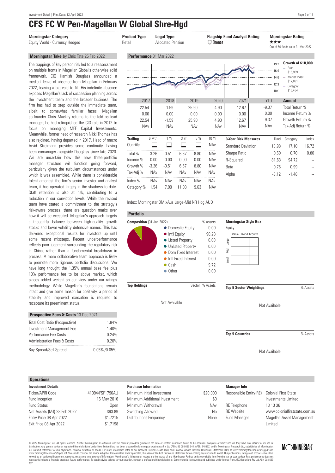## **CFS FC W Pen-Magellan W Global Shre-Hgd**

#### **Morningstar Take** by Chris Tate 25 Feb 2022

The trappings of key-person risk led to a reassessment on multiple fronts in Magellan Global's otherwise solid framework. CIO Hamish Douglass announced a medical leave of absence from Magellan in February 2022, leaving a big void to fill. His indefinite absence exposes Magellan's lack of succession planning across the investment team and the broader business. The firm has had to step outside the immediate team. albeit to somewhat familiar faces. Magellan co-founder Chris Mackay returns to the fold as lead manager; he had relinquished the CIO role in 2012 to focus on managing MFF Capital Investments. Meanwhile, former head of research Nikki Thomas has also rejoined, having departed in 2017. Head of macro Arvid Streimann provides some continuity, having been comanager alongside Douglass since late 2020. We are uncertain how this new three-portfolio manager structure will function going forward, particularly given the turbulent circumstances under which it was assembled. While there is considerable talent amongst the firm's senior investor and analyst team, it has operated largely in the shadows to date. Staff retention is also at risk, contributing to a reduction in our conviction levels. While the revised team have stated a commitment to the strategy's risk-aware process, there are question marks over how it will be executed. Magellan's approach targets a thoughtful balance between high-quality growth stocks and lower-volatility defensive names. This has delivered exceptional results for investors up until some recent missteps. Recent underperformance reflects poor judgment surrounding the regulatory risk in China, rather than a fundamental breakdown in process. A more collaborative team approach is likely to promote more rigorous portfolio discussions. We have long thought the 1.35% annual base fee plus 10% performance fee to be above market, which places added weight on our view under our ratings methodology. While Magellan's foundations remain intact and give some reason for positivity, a period of stability and improved execution is required to recapture its preeminent status.

| <b>Prospective Fees &amp; Costs 13 Dec 2021</b> |             |
|-------------------------------------------------|-------------|
| Total Cost Ratio (Prospective)                  | 184%        |
| Investment Management Fee                       | 1.40%       |
| Performance Fee Costs                           | 0.24%       |
| <b>Administration Fees &amp; Costs</b>          | 0.20%       |
| <b>Buy Spread/Sell Spread</b>                   | 0.05%/0.05% |

#### **Operations**

| <b>Investment Details</b>    |                 |
|------------------------------|-----------------|
| Ticker/APIR Code             | 41094/FSF1796AU |
| Fund Inception               | 16 May 2016     |
| <b>Fund Status</b>           | Open            |
| Net Assets (Mil) 28 Feb 2022 | \$63.89         |
| Entry Price 08 Apr 2022      | \$1.7215        |
| Exit Price 08 Apr 2022       | \$1.7198        |
|                              |                 |

#### .................................................................................................................................................................................................................................................................................... **Morningstar Category Product Type Legal Type Flagship Fund Analyst Rating Morningstar Rating** Equity World - Currency Hedged **Retail Allocated Pension Community Community Allocated Pension** <sup>T</sup> Out of 50 funds as at 31 Mar 2022 **Performance** 31 Mar 2022 **Growth of \$10,000** 19.2 Fund 16.9 \$15,969 Market Index 14.6 \$17,891 12.3 Category \$16,454 . . . . . . . . 10K 2017 2018 2019 2020 2021 YTD **Annual**  $22.54$  -1.59  $25.90$  4.90 12.67 -9.37 Total Return % 0.00 0.00 0.00 0.00 0.00 0.00 Income Return % 22.54 -1.59 25.90 4.90 12.67 -9.37 Growth Return % NAv NAv NAv NAv NAv NAv NAv Tax-Adj Return % **3-Year Risk Measures** Fund Category Index **Trailing** 6 Mth 1 Yr 3 Yr 5 Yr 10 Yr  $\sqrt{a}$ uartile  $\boxed{a}$   $\boxed{a}$   $\boxed{a}$   $\boxed{a}$   $\boxed{a}$   $\boxed{a}$   $\boxed{a}$   $\boxed{a}$   $\boxed{a}$   $\boxed{a}$   $\boxed{a}$   $\boxed{a}$   $\boxed{a}$   $\boxed{a}$   $\boxed{a}$   $\boxed{a}$   $\boxed{a}$   $\boxed{a}$   $\boxed{a}$   $\boxed{a}$   $\boxed{a}$   $\boxed{a}$   $\boxed{a}$   $\boxed{a}$   $\boxed{a}$   $\boxed{a}$ Standard Deviation 13.98 17.10 16.72 ..................................................................................... Total % -3.26 -0.51 6.67 8.80 NAv Sharpe Ratio  $0.50$  0.70 0.80 Income % 0.00 0.00 0.00 0.00 NAv R-Squared 81.63 94.72 Growth % -3.26 -0.51 6.67 8.80 NAv Beta 0.76 0.99 -- Tax-Adj % NAv NAv NAv NAv NAv Alpha -3.12 -1.48 -- ..................................................................................... Index % NAv NAv NAv NAv NAv

Index: Morningstar DM xAus Large-Mid NR Hdg AUD

Category % 1.54 7.99 11.08 9.63 NAv

#### **Portfolio**



**Top Holdings** Sector % Assets

Not Available

**Morningstar Style Box**

| Equity     |  |                    |  |  |  |
|------------|--|--------------------|--|--|--|
|            |  | Value Blend Growth |  |  |  |
| large      |  |                    |  |  |  |
| Sid<br>Mid |  |                    |  |  |  |
| Small      |  |                    |  |  |  |
|            |  |                    |  |  |  |

**Top 5 Sector Weightings** % Assets

Not Available

**Top 5 Countries 1986 6 Western Management Control %** Assets

Not Available

Minimum Initial Investment \$20,000 Minimum Additional Investment 60 Minimum Withdrawal NAV Switching Allowed No Distributions Frequency None **Manager Info** Responsible Entity(RE) Colonial First State Investments Limited RE Telephone 13 13 36 RE Website www.colonialfirststate.com.au Fund Manager Magellan Asset Management Limited

© 2022 Morningstar, Inc. All rights reserved. Neither Morningstar, its affiliates, nor the content providers guarantee the data or content contained herein to be accurate, complete or timely nor will they have any liabilit Inc, without reference to your objectives, financial situation or needs. For more information refer to our Financial Services Guide (AU) and Financial Advice Provider Disclosure Statement (NZ) at www.morningstar.com.au/s/f Let Durangstar, inc. An riguns research and the tender information and the content provides and an explorement incompleted financial advise the summer properted by Momingstar Australias Pty Ltd ABN: 95.990 665.544, AFSL: 2

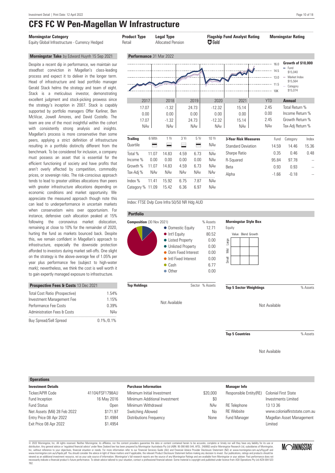### **CFS FC W Pen-Magellan W Infrastructure** ....................................................................................................................................................................................................................................................................................

#### **Morningstar Category Product Type Legal Type Flagship Fund Analyst Rating Morningstar Rating**

Equity Global Infrastructure - Currency Hedged Retail Allocated Pension **R7 Gold** 

#### **Morningstar Take** by Edward Huynh 15 Sep 2021

Despite a recent dip in performance, we maintain our steadfast conviction in Magellan's class-leading process and expect it to deliver in the longer term. Head of infrastructure and lead portfolio manager Gerald Stack helms the strategy and team of eight. Stack is a meticulous investor, demonstrating excellent judgment and stock-picking prowess since the strategy's inception in 2007. Stack is capably supported by portfolio managers Offer Karliner, Ben McVicar, Jowell Amores, and David Costello. The team are one of the most insightful within the cohort with consistently strong analysis and insights. Magellan's process is more conservative than some peers, applying a strict definition of infrastructure resulting in a portfolio distinctly different from the benchmark. To be considered for inclusion, a company must possess an asset that is essential for the efficient functioning of society and have profits that aren't overly affected by competition, commodity prices, or sovereign risks. The risk-conscious approach tends to lead to greater utilities allocations than peers with greater infrastructure allocations depending on economic conditions and market opportunity. We appreciate the measured approach though note this can lead to underperformance in uncertain markets when conservatism wins over opportunism. For instance, defensive cash allocation peaked at 15% following the coronavirus market dislocation, remaining at close to 10% for the remainder of 2020, hurting the fund as markets bounced back. Despite this, we remain confident in Magellan's approach to infrastructure, especially the downside protection afforded to investors during market sell-offs. One slight on the strategy is the above-average fee of 1.05% per year plus performance fee (subject to high-water mark); nevertheless, we think the cost is well worth it to gain expertly managed exposure to infrastructure.

| <b>Prospective Fees &amp; Costs 13 Dec 2021</b> |               |
|-------------------------------------------------|---------------|
| <b>Total Cost Ratio (Prospective)</b>           | 1.54%         |
| Investment Management Fee                       | 1 15%         |
| Performance Fee Costs                           | 0.39%         |
| <b>Administration Fees &amp; Costs</b>          | NAv           |
| <b>Buy Spread/Sell Spread</b>                   | $0.1\%$ /0.1% |

| Performance 31 Mar 2022 |                 |            |      |       |            |                             | 16.0<br>14.5<br>13.0<br>11.5<br>10K | Growth of \$10,000<br>Fund<br>÷<br>\$15,040<br>Market Index<br>\$15,564<br>Category<br>\$15,074 |       |
|-------------------------|-----------------|------------|------|-------|------------|-----------------------------|-------------------------------------|-------------------------------------------------------------------------------------------------|-------|
| 2017                    |                 | 2018       |      | 2019  | 2020       | 2021                        | <b>YTD</b>                          | <b>Annual</b>                                                                                   |       |
| 17.07                   |                 | $-1.32$    |      | 24.73 | $-12.32$   | 15.14                       | 2.45                                | Total Return %                                                                                  |       |
| 0.00                    |                 | 0.00       |      | 0.00  | 0.00       | 0.00                        | 0.00                                | Income Return %                                                                                 |       |
| 17.07                   |                 | $-1.32$    |      | 24.73 | $-12.32$   | 15.14                       | 2.45                                | Growth Return %                                                                                 |       |
|                         | NA <sub>v</sub> | <b>NAv</b> |      | NAv   | <b>NAv</b> | <b>NAv</b>                  | <b>NAv</b>                          | Tax-Adj Return %                                                                                |       |
| <b>Trailing</b>         | 6 Mth           | 1 Yr       | 3 Yr | 5 Yr  | 10Yr       | <b>3-Year Risk Measures</b> | Fund                                | Category                                                                                        | Index |
| Ouartile                |                 |            |      |       | NAv        | <b>Standard Deviation</b>   | 14.59                               | 14.46                                                                                           | 15.36 |
| Total %                 | 11.07           | 14.83      | 4.59 | 6.73  | NAv        | Sharpe Ratio                | 0.35                                | 0.46                                                                                            | 0.48  |
| Income %                | 0.00            | 0.00       | 0.00 | 0.00  | NAv        | R-Squared                   | 95.84                               | 97.78                                                                                           |       |
| Growth %                | 11.07           | 14.83      | 4.59 | 6.73  | NAv        | <b>Beta</b>                 | 0.93                                | 0.93                                                                                            |       |
| Tax-Adj %               | <b>NAv</b>      | <b>NAv</b> | NAv  | NAv   | NAv        | Alpha                       | $-1.66$                             | $-0.18$                                                                                         |       |
| Index %                 | 11.41           | 15.92      | 6.75 | 7.87  | <b>NAv</b> |                             |                                     |                                                                                                 |       |
| Category %              | 11.09           | 15.42      | 6.36 | 6.97  | NAv        |                             |                                     |                                                                                                 |       |

Index: FTSE Dvlp Core Infra 50/50 NR Hdg AUD

#### **Portfolio**



Not Available

**Morningstar Style Box**

| Equity |  |                    |  |  |  |
|--------|--|--------------------|--|--|--|
|        |  | Value Blend Growth |  |  |  |
| Large  |  |                    |  |  |  |
| š      |  |                    |  |  |  |
| Small  |  |                    |  |  |  |
|        |  |                    |  |  |  |

**Top Holdings** Sector % Assets **Top 5 Sector Weightings** % Assets

Not Available

**Top 5 Countries 1986 6 Western Management Control %** Assets

Not Available

#### **Operations**

| <b>Investment Details</b>    |                 |
|------------------------------|-----------------|
| Ticker/APIR Code             | 41104/FSF1798AU |
| Fund Inception               | 16 May 2016     |
| <b>Fund Status</b>           | Open            |
| Net Assets (Mil) 28 Feb 2022 | \$171.97        |
| Entry Price 08 Apr 2022      | \$1.4984        |
| Exit Price 08 Apr 2022       | \$1.4954        |
|                              |                 |

#### **Purchase Information**

| Minimum Initial Investment    | \$20,000 |
|-------------------------------|----------|
| Minimum Additional Investment | \$0      |
| Minimum Withdrawal            | NAv      |
| Switching Allowed             | No       |
| Distributions Frequency       | None     |
|                               |          |

#### **Manager Info**

\$20,000

| Responsible Entity (RE) Colonial First State |                               |
|----------------------------------------------|-------------------------------|
|                                              | Investments Limited           |
| <b>RE</b> Telephone                          | 13 13 36                      |
| <b>RF</b> Website                            | www.colonialfirststate.com.au |
| Fund Manager                                 | Magellan Asset Management     |
|                                              | I imited                      |

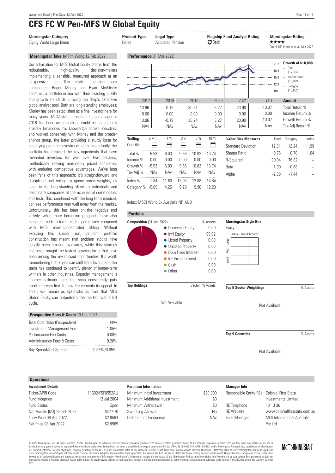Unfortunately, this has been on the negative end latterly, while more borderline prospects have also hindered medium-term results particularly compared with MFS' more-concentrated sibling. Without excusing this subpar run, prudent portfolio construction has meant that problem stocks have usually been smaller exposures, while this strategy has never sought the fastest-growing firms that have been among the key missed opportunities. It's worth remembering that styles can shift from favour, and the team has continued to identify plenty of longer-term winners in other industries. Capacity management is another hallmark here; the shop consistently puts client interests first. Its low fee cements its appeal. In short, we remain as optimistic as ever that MFS Global Equity can outperform the market over a full

## **CFS FC W Pen-MFS W Global Equity**

| <b>Morningstar Category</b><br>Equity World Large Blend                                                                                                                                                                                                                                                                                | <b>Product Type</b><br><b>Legal Type</b><br><b>Allocated Pension</b><br>Retail |         | <b>ED</b> Gold                           |            | <b>Flagship Fund Analyst Rating</b>  |                                    | <b>Morningstar Rating</b><br>****<br>Out of 153 funds as at 31 Mar 2022 |                                                                   |                                                                                                      |               |
|----------------------------------------------------------------------------------------------------------------------------------------------------------------------------------------------------------------------------------------------------------------------------------------------------------------------------------------|--------------------------------------------------------------------------------|---------|------------------------------------------|------------|--------------------------------------|------------------------------------|-------------------------------------------------------------------------|-------------------------------------------------------------------|------------------------------------------------------------------------------------------------------|---------------|
| Morningstar Take by Tim Wong 12 Feb 2022                                                                                                                                                                                                                                                                                               | Performance 31 Mar 2022                                                        |         |                                          |            |                                      |                                    |                                                                         |                                                                   |                                                                                                      |               |
| Our admiration for MFS Global Equity stems from the<br>high-quality<br>decision-makers<br>redoubtable.<br>implementing a sensible, measured approach at an<br>fee. This stable<br>inexpensive<br>operation sees<br>comanagers Roger Morley and Ryan McAllister<br>construct a portfolio in line with their exacting quality            |                                                                                |         |                                          |            |                                      |                                    |                                                                         | 18.4<br>$\cdots$ 15.6<br>$\cdots$ 12.8<br>------------------- 10K | Growth of \$10,000<br>$-$ Fund<br>\$17.354<br>$-$ Market Index<br>\$18,929<br>- Category<br>\$16,652 |               |
| and growth standards, utilising the shop's extensive                                                                                                                                                                                                                                                                                   | 2017                                                                           |         | 2018                                     |            | 2019                                 | 2020                               | 2021                                                                    | <b>YTD</b>                                                        | <b>Annual</b>                                                                                        |               |
| global analyst pool. Both are long-standing employees;<br>Morley has been established as a fine investor here for<br>many years. McAllister's transition to comanager in<br>2016 has been as smooth as could be hoped; he's<br>steadily broadened his knowledge across industries<br>and worked cohesively with Morley and the broader | 13.96<br>0.00<br>13.96<br><b>NAv</b>                                           |         | $-0.19$<br>0.00<br>$-0.19$<br><b>NAv</b> |            | 30.24<br>0.00<br>30.24<br><b>NAv</b> | 3.27<br>0.00<br>3.27<br><b>NAv</b> | 23.90<br>0.00<br>23.90<br><b>NAv</b>                                    | $-10.07$<br>0.00<br>$-10.07$<br>NAv                               | Total Return %<br>Income Return %<br>Growth Return %<br>Tax-Adj Return %                             |               |
| analyst group, the latter providing a sturdy base for                                                                                                                                                                                                                                                                                  | <b>Trailing</b>                                                                | 6 Mth   | 1 Yr                                     | 3 Yr       | 5 Yr                                 | 10 Yr                              | <b>3-Year Risk Measures</b>                                             | Fund                                                              | Category                                                                                             | Index         |
| identifying potential investment ideas. Importantly, the                                                                                                                                                                                                                                                                               | Quartile                                                                       | ᇀ       | ⋿                                        | ⋿          | ⋿                                    | ⊏                                  | <b>Standard Deviation</b>                                               | 12.61                                                             | 12.24                                                                                                | 11.99         |
| portfolio has retained the key ingredients that have                                                                                                                                                                                                                                                                                   | Total %                                                                        | $-5.53$ | 6.03                                     | 9.66       | 10.82                                | 13.74                              | Sharpe Ratio                                                            | 0.76                                                              | 0.78                                                                                                 | 1.04          |
| rewarded investors for well over two decades.                                                                                                                                                                                                                                                                                          | Income %                                                                       | 0.00    | 0.00                                     | 0.00       | 0.00                                 | 0.00                               | R-Squared                                                               | 90.34                                                             | 76.82                                                                                                | $\sim$ $\sim$ |
| methodically seeking reasonably priced companies                                                                                                                                                                                                                                                                                       | Growth %                                                                       | $-5.53$ | 6.03                                     | 9.66       | 10.82                                | 13.74                              | Beta                                                                    | 1.00                                                              | 0.88                                                                                                 |               |
| with enduring competitive advantages. We've long<br>been fans of this approach; it's straightforward and                                                                                                                                                                                                                               | Tax-Adj %                                                                      | NAv     | <b>NAv</b>                               | <b>NAv</b> | <b>NAv</b>                           | <b>NAv</b>                         | Alpha                                                                   | $-2.88$                                                           | $-1.44$                                                                                              |               |
| disciplined and willing to ignore index weights, as                                                                                                                                                                                                                                                                                    | Index %                                                                        | $-1.84$ | 11.60                                    | 12.93      | 12.88                                | 14.64                              |                                                                         |                                                                   |                                                                                                      |               |
| seen in its long-standing skew to industrials and<br>healthcare companies at the expense of commodities<br>and tech. This, combined with the long-term mindset,                                                                                                                                                                        | Category % -5.09                                                               |         | 4.25                                     | 9.29       | 9.96                                 | 12.23                              |                                                                         |                                                                   |                                                                                                      |               |
| can see performance veer well away from the market.                                                                                                                                                                                                                                                                                    | Index: MSCI World Ex Australia NR AUD                                          |         |                                          |            |                                      |                                    |                                                                         |                                                                   |                                                                                                      |               |

#### **Portfolio**



| <b>Prospective Fees &amp; Costs 13 Dec 2021</b> |                 |
|-------------------------------------------------|-----------------|
| Total Cost Ratio (Prospective)                  | NAv             |
| Investment Management Fee                       | 1.05%           |
| Performance Fee Costs                           | $0.00\%$        |
| <b>Administration Fees &amp; Costs</b>          | 0.20%           |
| <b>Buv Spread/Sell Spread</b>                   | $0.05\%$ /0.05% |

#### **Operations**

cycle.

| <b>Investment Details</b>    |                 |
|------------------------------|-----------------|
| Ticker/APIR Code             | 11502/FSF0552AU |
| Fund Inception               | 12 Jul 2004     |
| <b>Fund Status</b>           | Open            |
| Net Assets (Mil) 28 Feb 2022 | \$477.70        |
| Entry Price 08 Apr 2022      | \$2.8594        |
| Exit Price 08 Apr 2022       | \$2.8565        |
|                              |                 |

#### **Purchase Information**

| Minimum Initial Investment    | \$20,000 |
|-------------------------------|----------|
| Minimum Additional Investment | \$0      |
| Minimum Withdrawal            | \$0      |
| Switching Allowed             | N٥       |
| Distributions Frequency       | NAv      |
|                               |          |

#### **Manager Info**

| \$20,000 | Responsible Entity(RE) Colonial First State |                                    |
|----------|---------------------------------------------|------------------------------------|
| \$0      |                                             | Investments Limited                |
| $\$0$    | RE Telephone                                | 13 13 36                           |
| No       | <b>RF</b> Website                           | www.colonialfirststate.com.au      |
| NAv      | <b>Fund Manager</b>                         | <b>MFS</b> International Australia |
|          |                                             | Pty Ltd                            |

© 2022 Morningstar, Inc. All rights reserved. Neither Morningstar, its affiliates, nor the content providers guarantee the data or content contained herein to be accurate, complete or timely nor will they have any liabilit Let Durangstar, inc. An riguns research and the tender information and the content provides and an explorement incompleted financial advise the summer properted by Momingstar Australias Pty Ltd ABN: 95.990 665.544, AFSL: 2



Not Available

**Top 5 Countries** % Assets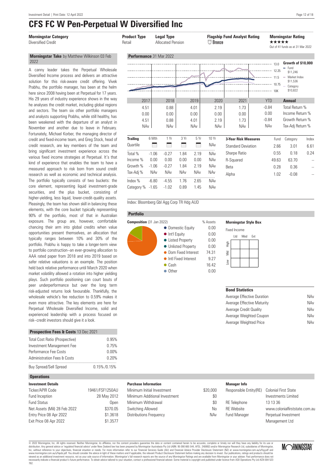A canny leader takes the Perpetual Wholesale Diversified Income process and delivers an attractive solution for this risk-aware credit offering. Vivek Prabhu, the portfolio manager, has been at the helm here since 2008 having been at Perpetual for 17 years. His 29 years of industry experience shows in the way he analyses the credit market, including global regions and sectors. The team six other portfolio managers and analysts supporting Prabhu, while still healthy, has been weakened with the departure of an analyst in November and another due to leave in February. Fortunately, Michael Korber, the managing director of credit and fixed-income team, and Greg Stock, head of credit research, are key members of the team and bring significant investment experience across the various fixed income strategies at Perpetual. It's that kind of experience that enables the team to have a measured approach to risk born from sound credit research as well as economic and technical analysis. The portfolio typically consists of two buckets: the core element, representing liquid investment-grade securities, and the plus bucket, consisting of higher-yielding, less liquid, lower-credit-quality assets. Pleasingly, the team has shown skill in balancing these elements, with the core bucket typically representing 90% of the portfolio, most of that in Australian exposure. The group are, however, comfortable chancing their arm into global credits when value opportunities present themselves, an allocation that typically ranges between 10% and 30% of the portfolio. Prabhu is happy to take a longer-term view to portfolio construction--an ever-growing allocation to AAA rated paper from 2018 and into 2019 based on safer relative valuations is an example. The position held back relative performance until March 2020 when market volatility allowed a rotation into higher yielding plays. Such portfolio positioning can court bouts of peer underperformance but over the long term risk-adjusted returns look favourable. Thankfully, the wholesale vehicle's fee reduction to 0.59% makes it even more attractive. The key elements are here for Perpetual Wholesale Diversified Income, solid and experienced leadership with a process focused on

### **CFS FC W Pen-Perpetual W Diversified Inc**

| <b>Morningstar Category</b><br>Diversified Credit                                                                                                                                                                                                                             | <b>Product Type</b><br>Retail |         | <b>Legal Type</b><br><b>Allocated Pension</b> |            |                    | $\Box$ Bronze      | <b>Flagship Fund Analyst Rating</b> | *****                 | <b>Morningstar Rating</b><br>Out of 41 funds as at 31 Mar 2022               |       |
|-------------------------------------------------------------------------------------------------------------------------------------------------------------------------------------------------------------------------------------------------------------------------------|-------------------------------|---------|-----------------------------------------------|------------|--------------------|--------------------|-------------------------------------|-----------------------|------------------------------------------------------------------------------|-------|
| Morningstar Take by Matthew Wilkinson 03 Feb<br>2022                                                                                                                                                                                                                          | Performance 31 Mar 2022       |         |                                               |            |                    |                    |                                     |                       | Growth of \$10,000                                                           |       |
| A canny leader takes the Perpetual Wholesale<br>Diversified Income process and delivers an attractive<br>solution for this risk-aware credit offering. Vivek<br>Prabhu, the portfolio manager, has been at the helm<br>here since 2008 having been at Perpetual for 17 years. |                               |         |                                               |            |                    |                    | $\sim$ 12.25                        | 10K                   | $=$ Fund<br>\$11.246<br>- Market Index<br>\$11,536<br>- Category<br>\$10,822 |       |
| His 29 years of industry experience shows in the way                                                                                                                                                                                                                          | 2017                          |         | 2018                                          |            | 2019               | 2020               | 2021                                | <b>YTD</b>            | <b>Annual</b>                                                                |       |
| he analyses the credit market, including global regions<br>and sectors. The team six other portfolio managers                                                                                                                                                                 | 4.51<br>0.00                  |         | 0.88<br>0.00                                  |            | 4.01<br>0.00       | 2.19<br>0.00       | 1.73<br>0.00                        | $-0.84$<br>0.00       | Total Return %<br>Income Return %                                            |       |
| and analysts supporting Prabhu, while still healthy, has<br>been weakened with the departure of an analyst in<br>November and another due to leave in February.<br>Fortunately, Michael Korber, the managing director of                                                      | 4.51<br>NAv                   |         | 0.88<br><b>NAv</b>                            |            | 4.01<br><b>NAv</b> | 2.19<br><b>NAv</b> | 1.73<br>NA <sub>v</sub>             | $-0.84$<br><b>NAv</b> | Growth Return %<br>Tax-Adj Return %                                          |       |
| credit and fixed-income team, and Greg Stock, head of                                                                                                                                                                                                                         | <b>Trailing</b>               | 6 Mth   | 1 Yr                                          | 3 Yr       | 5 Yr               | 10 Yr              | <b>3-Year Risk Measures</b>         | Fund                  | Category                                                                     | Index |
| credit research, are key members of the team and                                                                                                                                                                                                                              | Quartile                      | ⊟       | ⋿                                             |            | Ξ                  | NAv                | <b>Standard Deviation</b>           | 2.66                  | 3.01                                                                         | 6.61  |
| bring significant investment experience across the                                                                                                                                                                                                                            | Total %                       | $-1.06$ | $-0.27$                                       | 1.84       | 2.19               | NAv                | Sharpe Ratio                        | 0.55                  | 0.18                                                                         | 0.24  |
| various fixed income strategies at Perpetual. It's that<br>kind of experience that enables the team to have a                                                                                                                                                                 | Income %                      | 0.00    | 0.00                                          | 0.00       | 0.00               | NAv                | R-Squared                           | 49.63                 | 63.70                                                                        |       |
| measured approach to risk born from sound credit                                                                                                                                                                                                                              | Growth %                      | $-1.06$ | $-0.27$                                       | 1.84       | 2.19               | NAv                | Beta                                | 0.28                  | 0.36                                                                         |       |
| research as well as economic and technical analysis.                                                                                                                                                                                                                          | Tax-Adj %                     | NAv     | <b>NAv</b>                                    | <b>NAv</b> | NAv                | NAv                | Alpha                               | 1.02                  | $-0.08$                                                                      |       |
| The portfolio typically consists of two buckets: the                                                                                                                                                                                                                          | Index %                       | $-6.80$ | $-4.55$                                       | 1.76       | 2.65               | NAv                |                                     |                       |                                                                              |       |
| core element, representing liquid investment-grade<br>securities and the plus bucket consisting of                                                                                                                                                                            | Category $% -1.65$            |         | $-1.02$                                       | 0.89       | 1.45               | NAv                |                                     |                       |                                                                              |       |

Index: Bloomberg Gbl Agg Corp TR Hdg AUD

#### **Portfolio**



#### **Morningstar Style Box**

| Fixed Income<br>Mod Fxt<br>ht I<br>figh |  |  |  |  |  |
|-----------------------------------------|--|--|--|--|--|
|                                         |  |  |  |  |  |
|                                         |  |  |  |  |  |
| Χid                                     |  |  |  |  |  |
| LOW                                     |  |  |  |  |  |
|                                         |  |  |  |  |  |

#### **Bond Statistics**

| Average Effective Duration | NAv |
|----------------------------|-----|
| Average Effective Maturity | NAv |
| Average Credit Qualitv     | NAv |
| Average Weighted Coupon    | NAv |
| Average Weighted Price     | NAv |

| Prospective Fees & Costs 13 Dec 2021   |               |
|----------------------------------------|---------------|
| Total Cost Ratio (Prospective)         | 0.95%         |
| Investment Management Fee              | 0.75%         |
| Performance Fee Costs                  | <u>በ በበ%</u>  |
| <b>Administration Fees &amp; Costs</b> | 0.20%         |
| <b>Buy Spread/Sell Spread</b>          | 0.15% / 0.15% |

risk--credit investors should give it a look.

#### **Operations**

| <b>Investment Details</b>    |                 |
|------------------------------|-----------------|
| Ticker/APIR Code             | 19461/FSF1250AU |
| Fund Inception               | 28 May 2012     |
| <b>Fund Status</b>           | Open            |
| Net Assets (Mil) 28 Feb 2022 | \$370.05        |
| Entry Price 08 Apr 2022      | \$1.3618        |
| Exit Price 08 Apr 2022       | \$1,3577        |
|                              |                 |

#### **Purchase Information**

| Minimum Initial Investment    | \$20,000 |
|-------------------------------|----------|
| Minimum Additional Investment | \$0      |
| Minimum Withdrawal            | \$0      |
| Switching Allowed             | Nο       |
| Distributions Frequency       | NAv      |
|                               |          |

#### **Manager Info**

 $$20.000$ 

| Responsible Entity(RE) | <b>Colonial First State</b>   |
|------------------------|-------------------------------|
|                        | Investments Limited           |
| <b>RE</b> Telephone    | 13 13 36                      |
| <b>RF</b> Website      | www.colonialfirststate.com.au |
| Fund Manager           | Perpetual Investment          |
|                        | Management Ltd                |

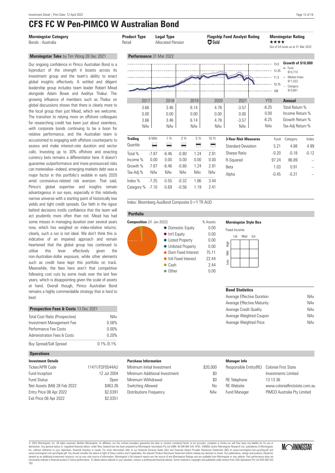**Morningstar Take** by Tim Wong 28 Dec 2021 Our ongoing confidence in Pimco Australian Bond is a byproduct of the strength it boasts across its investment group and the team's ability to enact global insights effectively. A settled and diligent leadership group includes team leader Robert Mead alongside Adam Bowe and Aaditya Thakur. The growing influence of members such as Thakur on global discussions shows that there is clearly more to the local group than just Mead, which we welcome. The transition to relying more on offshore colleagues for researching credit has been just about seamless, with corporate bonds continuing to be a boon for relative performance, and the Australian team is accustomed to engaging with offshore counterparts to assess and make interest-rate duration and sector calls. Investing up to 30% offshore and enacting currency bets remains a differentiator here. It doesn't guarantee outperformance and more-pronounced risks can materialise--indeed, emerging-markets debt was a major factor in this portfolio's wobble in early 2020 amid coronavirus-related risk aversion. That said, Pimco's global expertise and insights remain advantageous in our eyes, especially in this relatively narrow universe with a starting point of historically low yields and tight credit spreads. Our faith in the rigour behind decisions instils confidence that the team will act prudently more often than not. Mead has had some misses in managing duration over several years now, which has weighed on index-relative returns; clearly, such a run is not ideal. We don't think this is indicative of an impaired approach and remain heartened that the global group has continued to utilise this lever effectively given the non-Australian-dollar exposure, while other elements such as credit have kept this portfolio on track. Meanwhile, the fees here aren't that competitive following cost cuts by some rivals over the last few years, which is disappointing given the scale of assets at hand. Overall though, Pimco Australian Bond remains a highly commendable strategy that is hard to

## **CFS FC W Pen-PIMCO W Australian Bond**

| <b>Morningstar Category</b><br>Bonds - Australia                                                                                                                                                                                                                                                                      | <b>Product Type</b><br>Retail |         | <b>Legal Type</b><br><b>Allocated Pension</b> |            |      | <b>EF</b> Gold | <b>Flagship Fund Analyst Rating</b> | ****                        | <b>Morningstar Rating</b><br>Out of 54 funds as at 31 Mar 2022                                   |                |
|-----------------------------------------------------------------------------------------------------------------------------------------------------------------------------------------------------------------------------------------------------------------------------------------------------------------------|-------------------------------|---------|-----------------------------------------------|------------|------|----------------|-------------------------------------|-----------------------------|--------------------------------------------------------------------------------------------------|----------------|
| Morningstar Take by Tim Wong 28 Dec 2021                                                                                                                                                                                                                                                                              | Performance 31 Mar 2022       |         |                                               |            |      |                |                                     |                             |                                                                                                  |                |
| Our ongoing confidence in Pimco Australian Bond is a<br>byproduct of the strength it boasts across its<br>investment group and the team's ability to enact<br>global insights effectively. A settled and diligent<br>leadership group includes team leader Robert Mead<br>alongside Adam Bowe and Aaditya Thakur. The |                               |         |                                               |            |      |                |                                     | 11.5<br>$\sum$ 10.75<br>10K | Growth of \$10,000<br>$-$ Fund<br>\$10,710<br>- Market Index<br>\$11.033<br>Category<br>\$10,661 |                |
| growing influence of members such as Thakur on                                                                                                                                                                                                                                                                        | 2017                          |         | 2018                                          |            | 2019 | 2020           | 2021                                | <b>YTD</b>                  | <b>Annual</b>                                                                                    |                |
| global discussions shows that there is clearly more to                                                                                                                                                                                                                                                                | 3.66                          |         | 3.46                                          |            | 6.14 | 4.78           | $-3.57$                             | $-6.25$                     | Total Return %                                                                                   |                |
| the local group than just Mead, which we welcome.                                                                                                                                                                                                                                                                     | 0.00                          |         | 0.00                                          |            | 0.00 | 0.00           | 0.00                                | 0.00                        | Income Return %                                                                                  |                |
| The transition to relying more on offshore colleagues<br>for researching credit has been just about seamless,                                                                                                                                                                                                         | 3.66                          |         | 3.46                                          |            | 6.14 | 4.78           | $-3.57$                             | $-6.25$                     | Growth Return %                                                                                  |                |
| with corporate bonds continuing to be a boon for<br>relative performance, and the Australian team is                                                                                                                                                                                                                  | <b>NAv</b>                    |         | <b>NAv</b>                                    |            | NAv  | <b>NAv</b>     | <b>NAv</b>                          | NAv                         | Tax-Adj Return %                                                                                 |                |
| accustomed to engaging with offshore counterparts to                                                                                                                                                                                                                                                                  | <b>Trailing</b>               | 6 Mth   | 1 Yr                                          | 3 Yr       | 5Yr  | 10Yr           | <b>3-Year Risk Measures</b>         | Fund                        | Category                                                                                         | Index          |
| assess and make interest-rate duration and sector                                                                                                                                                                                                                                                                     | Quartile                      | ⋿       | ⋿                                             | ᄅ          | ⋿    | ⋿              | <b>Standard Deviation</b>           | 5.21                        | 4.88                                                                                             | 4.99           |
| calls. Investing up to 30% offshore and enacting                                                                                                                                                                                                                                                                      | Total %                       | $-7.87$ | $-6.46$                                       | $-0.80$    | 1.24 | 2.91           | Sharpe Ratio                        | $-0.20$                     | $-0.18$                                                                                          | $-0.12$        |
| currency bets remains a differentiator here. It doesn't                                                                                                                                                                                                                                                               | Income %                      | 0.00    | 0.00                                          | 0.00       | 0.00 | 0.00           | R-Squared                           | 97.24                       | 86.89                                                                                            |                |
| quarantee outperformance and more-pronounced risks                                                                                                                                                                                                                                                                    | Growth %                      | $-7.87$ | $-6.46$                                       | $-0.80$    | 1.24 | 2.91           | <b>Beta</b>                         | 1.03                        | 0.91                                                                                             | $\overline{a}$ |
| can materialise--indeed, emerging-markets debt was a<br>major factor in this portfolio's wobble in early 2020                                                                                                                                                                                                         | Tax-Adj %                     | NAv     | NAv                                           | <b>NAv</b> | NAv  | NAv            | Alpha                               | $-0.45$                     | $-0.31$                                                                                          |                |
| amid coronavirus-related risk aversion. That said,                                                                                                                                                                                                                                                                    | Index %                       | $-7.25$ | $-5.55$                                       | $-0.32$    | 1.86 | 3.44           |                                     |                             |                                                                                                  |                |
| Pimco's global expertise and insights remain<br>advantageous in our eves, especially in this relatively                                                                                                                                                                                                               | Category % -7.10              |         | $-5.69$                                       | $-0.56$    | 1.19 | 2.41           |                                     |                             |                                                                                                  |                |

Index: Bloomberg AusBond Composite 0+Y TR AUD

#### **Portfolio**



#### **Morningstar Style Box**

| <b>Fixed Income</b> |      |     |     |  |
|---------------------|------|-----|-----|--|
|                     | ht I | Mod | Fxt |  |
| figh                |      |     |     |  |
| $\sum_{i=1}^{n}$    |      |     |     |  |
| ŠΩ                  |      |     |     |  |
|                     |      |     |     |  |

#### **Bond Statistics**

| Average Effective Duration | NAv |
|----------------------------|-----|
| Average Effective Maturity | NAv |
| Average Credit Qualitv     | NAv |
| Average Weighted Coupon    | NAv |
| Average Weighted Price     | NAv |

#### **Purchase Information**

| Minimum Initial Investment    | \$20,000 |
|-------------------------------|----------|
| Minimum Additional Investment | \$0      |
| Minimum Withdrawal            | \$0      |
| Switching Allowed             | N٥       |
| Distributions Frequency       | NAv      |
|                               |          |

#### **Manager Info**

| ЭO  | Responsible Entity(RE) | Colonial First State          |
|-----|------------------------|-------------------------------|
| \$0 |                        | Investments Limited           |
| \$0 | <b>RE</b> Telephone    | 13 13 36                      |
| ٧o  | <b>RF</b> Website      | www.colonialfirststate.com.au |
| Aν  | <b>Fund Manager</b>    | PIMCO Australia Pty Limited   |
|     |                        |                               |

© 2022 Morningstar, Inc. All rights reserved. Neither Morningstar, its affiliates, nor the content providers guarantee the data or content contained herein to be accurate, complete or timely nor will they have any liabilit Let Durangstar, inc. An riguns research and the tender information and the content provides and an explorement incompleted financial advise the summer properted by Momingstar Australias Pty Ltd ABN: 95.990 665.544, AFSL: 2



### **Operations**

beat.

| <b>Investment Details</b>    |                 |
|------------------------------|-----------------|
| Ticker/APIR Code             | 11471/FSF0544AU |
| Fund Inception               | 12 Jul 2004     |
| <b>Fund Status</b>           | Open            |
| Net Assets (Mil) 28 Feb 2022 | \$463.26        |
| Entry Price 08 Apr 2022      | \$2.0391        |
| Exit Price 08 Apr 2022       | \$2.0351        |
|                              |                 |

**Prospective Fees & Costs** 13 Dec 2021

Total Cost Ratio (Prospective) NAv Investment Management Fee 0.56% Performance Fee Costs 0.00% Administration Fees & Costs 0.20% ..................................................................................... Buy Spread/Sell Spread 0.1% / 0.1%

**Investment Details**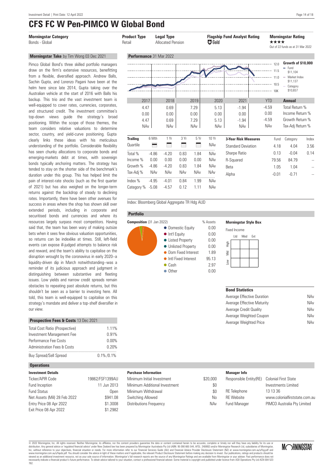## **CFS FC W Pen-PIMCO W Global Bond**



Income % 0.00 0.00 0.00 0.00 NAv Growth % -4.86 -4.20 0.83 1.84 NAv Tax-Adj % NAv NAv NAv NAv NAv ..................................................................................... Index % -4.95 -4.01 0.84 1.99 NAv Category % -5.08 -4.57 0.12 1.11 NAv

clearly links these ideas with his meticulous understanding of the portfolio. Considerable flexibility has seen chunky allocations to corporate bonds and emerging-markets debt at times, with sovereign bonds typically anchoring matters. The strategy has tended to stay on the shorter side of the benchmark's duration under this group. This has helped limit the pain of interest-rate shocks (such as the first quarter of 2021) but has also weighed on the longer-term returns against the backdrop of steady to declining rates. Importantly, there have been other avenues for success in areas where the shop has shown skill over extended periods, including in corporate and securitised bonds and currencies and where its resources largely surpass most competitors. Having said that, the team has been wary of making outsize bets when it sees few obvious valuation opportunities, so returns can be indexlike at times. Still, left-field events can expose ill-judged attempts to balance risk and reward, and the team's ability to capitalise on the disruption wrought by the coronavirus in early 2020--a liquidity-driven dip in March notwithstanding--was a reminder of its judicious approach and judgment in distinguishing between substantive and fleeting issues. Low yields and narrow credit spreads remain obstacles to repeating past absolute returns, but this shouldn't be seen as a barrier to investing here. All told, this team is well-equipped to capitalise on this strategy's mandate and deliver a top-shelf diversifier in our view.

#### **Prospective Fees & Costs** 13 Dec 2021

| Total Cost Ratio (Prospective) | 1.11%           |
|--------------------------------|-----------------|
| Investment Management Fee      | 0.91%           |
| Performance Fee Costs          | 0.00%           |
| Administration Fees & Costs    | 0.20%           |
| Buy Spread/Sell Spread         | $0.1\% / 0.1\%$ |

#### **Operations**

| <b>Investment Details</b>    |                 |
|------------------------------|-----------------|
| Ticker/APIR Code             | 19862/FSF1399AU |
| Fund Inception               | 11 Jun 2013     |
| <b>Fund Status</b>           | Open            |
| Net Assets (Mil) 28 Feb 2022 | \$941.08        |
| Entry Price 08 Apr 2022      | \$1,3008        |
| Exit Price 08 Apr 2022       | \$1.2982        |

### Index: Bloomberg Global Aggregate TR Hdg AUD **Portfolio Composition** (31 Jan 2022) % Assets



#### **Morningstar Style Box**

R-Squared 79.56 84.79

Beta 1.05 1.04 --Alpha -0.01 -0.71 --

| <b>Fixed Income</b> |  |             |  |
|---------------------|--|-------------|--|
|                     |  | Ltd Mod Ext |  |
| 高王                  |  |             |  |
| ξ                   |  |             |  |
| LOW                 |  |             |  |
|                     |  |             |  |

#### **Bond Statistics**

| NAv |
|-----|
| NAv |
| NAv |
| NAv |
| NAv |
|     |

#### **Purchase Information**

| Minimum Initial Investment    | \$20,000 |
|-------------------------------|----------|
| Minimum Additional Investment | \$0      |
| Minimum Withdrawal            | \$0      |
| Switching Allowed             | N٥       |
| Distributions Frequency       | NAv      |
|                               |          |

| <b>Manager Info</b>    |                             |
|------------------------|-----------------------------|
| Responsible Entity(RE) | <b>Colonial First State</b> |

RF Telephone RE Website Fund Manager

| - 1 | 0.01                          |
|-----|-------------------------------|
|     | Investments Limited           |
|     | 13 13 36                      |
|     | www.colonialfirststate.com.au |
|     | PIMCO Australia Pty Limited   |

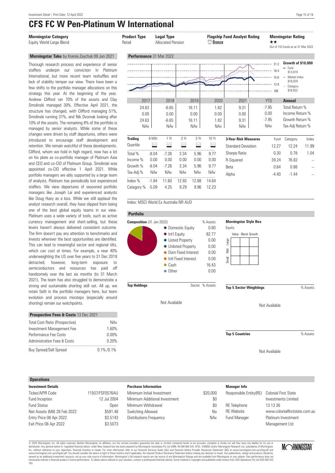### **CFS FC W Pen-Platinum W International**

#### **Morningstar Take** by Ksenia Zaychuk 09 Jun 2021

Thorough research process and experience of senior staffers underpin our conviction in Platinum International, but more recent team reshuffles and lack of stability temper our view. There have been a few shifts to the portfolio manager allocations on this strategy this year. At the beginning of the year, Andrew Clifford ran 70% of the assets and Clay Smolinski managed 30%. Effective April 2021, the structure has changed, with Clifford managing 51%, Smolinski running 31%, and Nik Dvornak looking after 10% of the assets. The remaining 8% of the portfolio is managed by senior analysts. While some of these changes were driven by staff departures, others were introduced to encourage staff development and retention. We remain watchful of these developments. Clifford, whom we hold in high regard, now has a lot on his plate as co-portfolio manager of Platinum Asia and CEO and co-CIO of Platinum Group. Smolinski was appointed co-CIO effective 1 April 2021. While portfolio managers are ably supported by a large team of analysts, Platinum has periodically lost experienced staffers. We view departures of seasoned portfolio managers like Joseph Lai and experienced analysts like Doug Huey as a loss. While we still applaud the analyst research overall, they have slipped from being one of the best global equity teams in our view. Platinum uses a wide variety of tools, such as active currency management and short-selling, but these levers haven't always delivered consistent outcome. The firm doesn't pay any attention to benchmarks and invests wherever the best opportunities are identified. This can lead to meaningful sector and regional tilts. which can cost at times. For example, a near 40% underweighting the US over five years to 31 Dec 2019 detracted; however, long-term exposure to semiconductors and resources has paid off handsomely over the last six months (to 31 March 2021). The team has also struggled to demonstrate a strong and sustainable shorting skill set. All up, we retain faith in the portfolio managers here, but team evolution and process missteps (especially around shorting) remain our watchpoints.

| <b>Prospective Fees &amp; Costs 13 Dec 2021</b> |                 |
|-------------------------------------------------|-----------------|
| <b>Total Cost Ratio (Prospective)</b>           | NAv             |
| Investment Management Fee                       | 1.60%           |
| Performance Fee Costs                           | 0.00%           |
| <b>Administration Fees &amp; Costs</b>          | 0.20%           |
| <b>Buy Spread/Sell Spread</b>                   | $0.1\% / 0.1\%$ |

#### **Operations**

| <b>Investment Details</b>    |                 |
|------------------------------|-----------------|
| Ticker/APIR Code             | 11507/FSF0576AU |
| Fund Inception               | 12 Jul 2004     |
| <b>Fund Status</b>           | Open            |
| Net Assets (Mil) 28 Feb 2022 | \$591.48        |
| Entry Price 08 Apr 2022      | \$3.5143        |
| Exit Price 08 Apr 2022       | \$3.5073        |
|                              |                 |

| <b>Morningstar Category</b><br>Equity World Large Blend                                                                                                                                                                                                                                                                          | <b>Product Type</b><br>Retail        |            | <b>Legal Type</b><br><b>Allocated Pension</b> |               |                                      | $\Box$ Bronze                           | <b>Flagship Fund Analyst Rating</b> | ★★                                       | <b>Morningstar Rating</b><br>Out of 153 funds as at 31 Mar 2022                                    |       |
|----------------------------------------------------------------------------------------------------------------------------------------------------------------------------------------------------------------------------------------------------------------------------------------------------------------------------------|--------------------------------------|------------|-----------------------------------------------|---------------|--------------------------------------|-----------------------------------------|-------------------------------------|------------------------------------------|----------------------------------------------------------------------------------------------------|-------|
| Morningstar Take by Ksenia Zaychuk 09 Jun 2021                                                                                                                                                                                                                                                                                   | Performance 31 Mar 2022              |            |                                               |               |                                      |                                         |                                     |                                          |                                                                                                    |       |
| Thorough research process and experience of senior<br>staffers underpin our conviction in Platinum<br>International, but more recent team reshuffles and<br>lack of stability temper our view. There have been a<br>few shifts to the portfolio manager allocations on this<br>strategy this year. At the beginning of the year, |                                      |            |                                               |               |                                      |                                         |                                     | 21.2<br>18.4<br>15.6<br>12.8<br>10K      | Growth of \$10,000<br>$=$ Fund<br>\$13,919<br>$=$ Market Index<br>\$18,929<br>Category<br>\$16,652 |       |
| Andrew Clifford ran 70% of the assets and Clay                                                                                                                                                                                                                                                                                   | 2017                                 |            | 2018                                          |               | 2019                                 | 2020                                    | 2021                                | <b>YTD</b>                               | <b>Annual</b>                                                                                      |       |
| Smolinski managed 30%. Effective April 2021, the<br>structure has changed, with Clifford managing 51%,<br>Smolinski running 31%, and Nik Dvornak looking after<br>10% of the assets. The remaining 8% of the portfolio is<br>managed by senior analysts. While some of these                                                     | 24.63<br>0.00<br>24.63<br><b>NAv</b> |            | $-6.65$<br>0.00<br>$-6.65$<br><b>NAv</b>      |               | 16.11<br>0.00<br>16.11<br><b>NAv</b> | 1.82<br>0.00<br>1.82<br>NA <sub>v</sub> | 9.31<br>0.00<br>9.31<br><b>NAv</b>  | $-7.95$<br>0.00<br>$-7.95$<br><b>NAv</b> | Total Return %<br>Income Return %<br>Growth Return %<br>Tax-Adj Return %                           |       |
| changes were driven by staff departures, others were<br>introduced to encourage staff development and                                                                                                                                                                                                                            | <b>Trailing</b>                      | 6 Mth      | 1 Yr                                          | 3 Yr          | 5 Yr                                 | 10 Yr                                   | <b>3-Year Risk Measures</b>         | Fund                                     | Category                                                                                           | Index |
| retention. We remain watchful of these developments.                                                                                                                                                                                                                                                                             | Quartile                             |            | ⊟                                             | $\equiv$      | ⊟                                    | ⋿                                       | <b>Standard Deviation</b>           | 12.27                                    | 12.24                                                                                              | 11.99 |
| Clifford, whom we hold in high regard, now has a lot                                                                                                                                                                                                                                                                             | Total %                              | $-8.04$    | $-7.26$                                       | 3.34          | 5.96                                 | 9.77                                    | Sharpe Ratio                        | 0.30                                     | 0.78                                                                                               | 1.04  |
| on his plate as co-portfolio manager of Platinum Asia                                                                                                                                                                                                                                                                            | Income %                             | 0.00       | 0.00                                          | 0.00          | 0.00                                 | 0.00                                    | R-Squared                           | 39.24                                    | 76.82                                                                                              |       |
| and CEO and co-CIO of Platinum Group. Smolinski was<br>appointed co-CIO effective 1 April 2021. While                                                                                                                                                                                                                            | Growth %                             | $-8.04$    | $-7.26$                                       | 3.34          | 5.96                                 | 9.77                                    | Beta                                | 0.64                                     | 0.88                                                                                               |       |
| portfolio managers are ably supported by a large team                                                                                                                                                                                                                                                                            | Tax-Adj %                            | <b>NAv</b> | <b>NAv</b>                                    | <b>NAv</b>    | NAv                                  | NAv                                     | Alpha                               | $-4.40$                                  | $-1.44$                                                                                            |       |
| of analysts, Platinum has periodically lost experienced<br>staffers. We view departures of seasoned portfolio<br>managers like Joseph Lai and experienced analysts                                                                                                                                                               | Index %<br>Category % -5.09          | $-1.84$    | 11.60<br>4.25                                 | 12.93<br>9.29 | 12.88<br>9.96                        | 14.64<br>12.23                          |                                     |                                          |                                                                                                    |       |

Index: MSCI World Ex Australia NR AUD





**Top Holdings** Sector % Assets

Not Available

Minimum Initial Investment \$20,000 Minimum Additional Investment 60 Minimum Withdrawal **\$0** Switching Allowed No Distributions Frequency **NAV** 

**Morningstar Style Box**

| Equity |                    |  |
|--------|--------------------|--|
|        | Value Blend Growth |  |
| Large  |                    |  |
| ξ      |                    |  |
| Small  |                    |  |
|        |                    |  |

**Top 5 Sector Weightings** % Assets

Not Available

**Top 5 Countries** % Assets

Not Available

**Manager Info** Responsible Entity(RE) Colonial First State Investments Limited RE Telephone 13 13 36 RE Website www.colonialfirststate.com.au Fund Manager Platinum Investment Management Ltd

© 2022 Morningstar, Inc. All rights reserved. Neither Morningstar, its affiliates, nor the content providers guarantee the data or content contained herein to be accurate, complete or timely nor will they have any liabilit Let Durangstar, inc. An riguns research and the tender information and the content provides and an explorement incompleted financial advise the summer properted by Momingstar Australias Pty Ltd ABN: 95.990 665.544, AFSL: 2

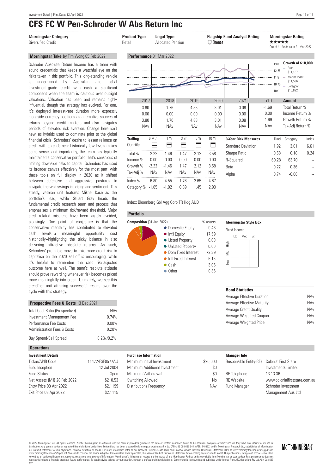**Morningstar Take** by Tim Wong 05 Feb 2022 Schroder Absolute Return Income has a team with sound credentials that keeps a watchful eye on the risks taken in this portfolio. This long-standing vehicle underpinned by Australian and global investment-grade credit with cash a significant component when the team is cautious over outright valuations. Valuation has been and remains highly influential, though the strategy has evolved. For one, it's deployed interest-rate duration more expressly alongside currency positions as alternative sources of returns beyond credit markets and also navigates periods of elevated risk aversion. Change here isn't new, as hybrids used to dominate prior to the global financial crisis. Schroders' desire to lessen reliance on credit with spreads near historically low levels makes some sense, and importantly, the team has typically maintained a conservative portfolio that's conscious of limiting downside risks to capital. Schroders has used its broader canvas effectively for the most part, with these tools on full display in 2020 as it shifted between defensive and aggressive postures to navigate the wild swings in pricing and sentiment. This steady, veteran unit features Mikhel Kase as the portfolio's lead, while Stuart Gray heads the fundamental credit research team and process that emphasises a minimum risk/reward threshold. Major credit-related missteps have been largely avoided, pleasingly. One point of conjecture is that the conservative mentality has contributed to elevated cash levels--a meaningful opportunity cost historically--highlighting the tricky balance in also delivering attractive absolute returns. As such, Schroders' profitable move to take more credit risk to capitalise on the 2020 sell-off is encouraging, while it's helpful to remember the solid risk-adjusted outcome here as well. The team's resolute attitude should prove rewarding whenever risk becomes priced more meaningfully into credit. Ultimately, we see this steadfast unit attaining successful results over the

### **CFS FC W Pen-Schroder W Abs Return Inc**

| <b>Morningstar Category</b><br>Diversified Credit                                                                                                                                                                                                                                                                                    | <b>Product Type</b><br>Retail |         | <b>Legal Type</b><br><b>Allocated Pension</b> |            |                                    | $\Box$ Bronze                      | <b>Flagship Fund Analyst Rating</b> | *****                             | <b>Morningstar Rating</b><br>Out of 41 funds as at 31 Mar 2022                                   |       |
|--------------------------------------------------------------------------------------------------------------------------------------------------------------------------------------------------------------------------------------------------------------------------------------------------------------------------------------|-------------------------------|---------|-----------------------------------------------|------------|------------------------------------|------------------------------------|-------------------------------------|-----------------------------------|--------------------------------------------------------------------------------------------------|-------|
| Morningstar Take by Tim Wong 05 Feb 2022                                                                                                                                                                                                                                                                                             | Performance 31 Mar 2022       |         |                                               |            |                                    |                                    |                                     |                                   |                                                                                                  |       |
| Schroder Absolute Return Income has a team with<br>sound credentials that keeps a watchful eye on the<br>risks taken in this portfolio. This long-standing vehicle<br>Australian<br>underpinned<br>by<br>and<br>global<br>is<br>investment-grade credit with cash a significant<br>component when the team is cautious over outright |                               |         |                                               |            |                                    |                                    | 10.75                               | $\cdots$ 12.25                    | Growth of \$10,000<br>$=$ Fund<br>\$11,187<br>- Market Index<br>\$11,536<br>Category<br>\$10,822 |       |
| valuations. Valuation has been and remains highly                                                                                                                                                                                                                                                                                    | 2017                          |         | 2018                                          |            | 2019                               | 2020                               | 2021                                | <b>YTD</b>                        | <b>Annual</b>                                                                                    |       |
| influential, though the strategy has evolved. For one,<br>it's deploved interest-rate duration more expressly<br>alongside currency positions as alternative sources of<br>returns beyond credit markets and also navigates<br>periods of elevated risk aversion. Change here isn't                                                  | 3.80<br>0.00<br>3.80<br>NAv   |         | 1.76<br>0.00<br>1.76<br><b>NAv</b>            |            | 4.88<br>0.00<br>4.88<br><b>NAv</b> | 3.01<br>0.00<br>3.01<br><b>NAv</b> | 0.08<br>0.00<br>0.08<br><b>NAv</b>  | $-1.69$<br>0.00<br>$-1.69$<br>NAv | Total Return %<br>Income Return %<br>Growth Return %<br>Tax-Adj Return %                         |       |
| new, as hybrids used to dominate prior to the global<br>financial crisis. Schroders' desire to lessen reliance on                                                                                                                                                                                                                    | <b>Trailing</b>               | 6 Mth   | 1 Yr                                          | 3 Yr       | 5Yr                                | 10 Yr                              | <b>3-Year Risk Measures</b>         | Fund                              | Category                                                                                         | Index |
| credit with spreads near historically low levels makes                                                                                                                                                                                                                                                                               | Quartile                      | ᄅ       | ⋿                                             | =          | ⊟                                  | ⋿                                  | <b>Standard Deviation</b>           | 1.92                              | 3.01                                                                                             | 6.61  |
| some sense, and importantly, the team has typically                                                                                                                                                                                                                                                                                  | Total %                       | $-2.22$ | $-1.46$                                       | 1.47       | 2.12                               | 3.58                               | Sharpe Ratio                        | 0.58                              | 0.18                                                                                             | 0.24  |
| maintained a conservative portfolio that's conscious of                                                                                                                                                                                                                                                                              | Income %                      | 0.00    | 0.00                                          | 0.00       | 0.00                               | 0.00                               | R-Squared                           | 60.28                             | 63.70                                                                                            |       |
| limiting downside risks to capital. Schroders has used<br>its broader canvas effectively for the most part, with                                                                                                                                                                                                                     | Growth %                      | $-2.22$ | $-1.46$                                       | 1.47       | 2.12                               | 3.58                               | <b>Beta</b>                         | 0.22                              | 0.36                                                                                             |       |
| these tools on full display in 2020 as it shifted                                                                                                                                                                                                                                                                                    | Tax-Adj %                     | NAv     | <b>NAv</b>                                    | <b>NAv</b> | NAv                                | NAv                                | Alpha                               | 0.74                              | $-0.08$                                                                                          |       |
| between defensive and aggressive postures to                                                                                                                                                                                                                                                                                         | Index %                       | $-6.80$ | $-4.55$                                       | 1.76       | 2.65                               | 4.67                               |                                     |                                   |                                                                                                  |       |
| navigate the wild swings in pricing and sentiment. This<br>steady veteran unit features Mikhel Kase as the                                                                                                                                                                                                                           | Category $% -1.65$            |         | $-1.02$                                       | 0.89       | 1.45                               | 2.90                               |                                     |                                   |                                                                                                  |       |

Index: Bloomberg Gbl Agg Corp TR Hdg AUD

#### **Portfolio**





#### **Morningstar Style Box**

| Fixed Income |  |          |     |  |
|--------------|--|----------|-----|--|
|              |  | I td Mod | Fxt |  |
| 上記           |  |          |     |  |
| ξ            |  |          |     |  |
| Low          |  |          |     |  |
|              |  |          |     |  |

### **Bond Statistics**

| Average Effective Duration | NAv |
|----------------------------|-----|
| Average Effective Maturity | NAv |
| Average Credit Qualitv     | NAv |
| Average Weighted Coupon    | NAv |
| Average Weighted Price     | NAv |

#### Investment Management Fee 0.74% Performance Fee Costs 0.00% Administration Fees & Costs 6 0.20%

Total Cost Ratio (Prospective) NAv

**Prospective Fees & Costs** 13 Dec 2021

| Buy Spread/Sell Spread | $0.2\%$ /0.2% |
|------------------------|---------------|
|                        |               |

#### **Operations**

cycle with this strategy.

| <b>Investment Details</b>    |                 |
|------------------------------|-----------------|
| Ticker/APIR Code             | 11472/FSF0577AU |
| Fund Inception               | 12 Jul 2004     |
| <b>Fund Status</b>           | Open            |
| Net Assets (Mil) 28 Feb 2022 | \$210.53        |
| Entry Price 08 Apr 2022      | \$2.1199        |
| Exit Price 08 Apr 2022       | \$2.1115        |
|                              |                 |

#### **Purchase Information**

| Minimum Initial Investment    | \$20,000 |
|-------------------------------|----------|
| Minimum Additional Investment | \$0      |
| Minimum Withdrawal            | \$0      |
| Switching Allowed             | No       |
| Distributions Frequency       | NAv      |
|                               |          |

#### **Manager Info** Responsible Entity(RE) Colonial First State Investments Limited RE Telephone 13 13 36 RE Website www.colonialfirststate.com.au Fund Manager Schroder Investment

Management Aus Ltd

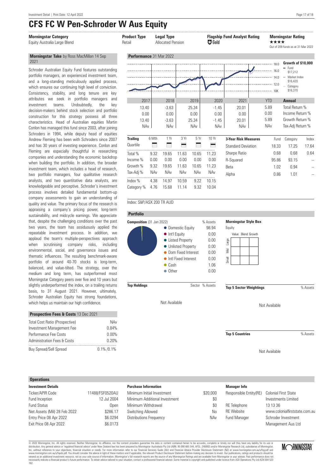### **CFS FC W Pen-Schroder W Aus Equity**

#### **Morningstar Take** by Ross MacMillan 14 Sep 2021

Schroder Australian Equity Fund features outstanding portfolio managers, an experienced investment team, and a long-standing meticulously applied process, which ensures our continuing high level of conviction. Consistency, stability, and long tenure are key attributes we seek in portfolio managers and investment teams. Undoubtedly, the key decision-makers behind stock selection and portfolio construction for this strategy possess all three characteristics. Head of Australian equities Martin Conlon has managed this fund since 2003, after joining Schroders in 1994, while deputy head of equities Andrew Fleming has been with Schroders since 2007 and has 30 years of investing experience. Conlon and Fleming are especially thoughtful in researching companies and understanding the economic backdrop when building the portfolio. In addition, the broader investment team, which includes a head of research, two portfolio managers, four qualitative research analysts, and two quantitative data analysts, are knowledgeable and perceptive. Schroder's investment process involves detailed fundamental bottom-up company assessments to gain an understanding of quality and value. The primary focus of the research is appraising a company's pricing power, long-term sustainability, and midcycle earnings. We appreciate that, despite the challenging conditions over the past two years, the team has assiduously applied the repeatable investment process. In addition, we applaud the team's multiple-perspectives approach when scrutinising company risks, including environmental, social, and governance issues and thematic influences. The resulting benchmark-aware portfolio of around 40-70 stocks is long-term, balanced, and value-tilted. The strategy, over the medium and long term, has outperformed most Morningstar Category peers over five and 10 years but slightly underperformed the index, on a trailing returns basis, to 31 August 2021. However, ultimately, Schroder Australian Equity has strong foundations, which helps us maintain our high confidence.

| <b>Prospective Fees &amp; Costs</b> 13 Dec ZUZ I |               |
|--------------------------------------------------|---------------|
| Total Cost Ratio (Prospective)                   | NAv           |
| Investment Management Fee                        | 0.84%         |
| Performance Fee Costs                            | $0.00\%$      |
| <b>Administration Fees &amp; Costs</b>           | 0.20%         |
| <b>Buy Spread/Sell Spread</b>                    | $0.1\%$ /0.1% |

**Prospective Fees & Costs** 13 Dec 2021

#### **Operations**

| <b>Investment Details</b>    |                 |
|------------------------------|-----------------|
| Ticker/APIR Code             | 11488/FSF0520AU |
| Fund Inception               | 12 Jul 2004     |
| <b>Fund Status</b>           | Open            |
| Net Assets (Mil) 28 Feb 2022 | \$286.17        |
| Entry Price 08 Apr 2022      | \$6.0294        |
| Exit Price 08 Apr 2022       | \$6.0173        |
|                              |                 |



#### Index: S&P/ASX 200 TR AUD



Not Available

Minimum Initial Investment \$20,000 Minimum Additional Investment 60 Minimum Withdrawal 30 Switching Allowed No Distributions Frequency **NAV** 

Not Available

**Top 5 Countries 1988 6 May 10 May 10 May 10 May 10 May 10 May 10 May 10 May 10 May 10 May 10 May 10 May 10 May 10 May 10 May 10 May 10 May 10 May 10 May 10 May 10 May 10 May 10 May 10 May 10 May 10 May 10 May 10 May 1** 

Not Available

**Manager Info** Responsible Entity(RE) Colonial First State Investments Limited RE Telephone 13 13 36 RE Website www.colonialfirststate.com.au Fund Manager Schroder Investment Management Aus Ltd

© 2022 Morningstar, Inc. All rights reserved. Neither Morningstar, its affiliates, nor the content providers guarantee the data or content contained herein to be accurate, complete or timely nor will they have any liabilit Inc, without reference to your objectives, financial situation or needs. For more information refer to our Financial Services Guide (AU) and Financial Advice Provider Disclosure Statement (NZ) at www.morningstar.com.au/s/f Let Durangstar, inc. An riguns research and the tender information and the content provides and an explorement incompleted financial advise the summer properted by Momingstar Australias Pty Ltd ABN: 95.990 665.544, AFSL: 2